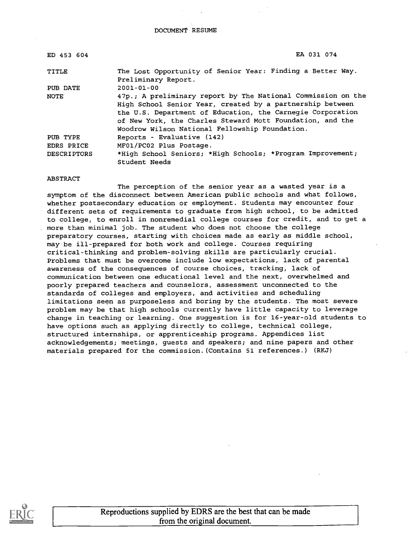| ED 453 604         | EA 031 074                                                                                                                                                                                                                                                                                             |
|--------------------|--------------------------------------------------------------------------------------------------------------------------------------------------------------------------------------------------------------------------------------------------------------------------------------------------------|
| TITLE              | The Lost Opportunity of Senior Year: Finding a Better Way.<br>Preliminary Report.                                                                                                                                                                                                                      |
| PUB DATE           | $2001 - 01 - 00$                                                                                                                                                                                                                                                                                       |
| NOTE               | 47p.; A preliminary report by The National Commission on the<br>High School Senior Year, created by a partnership between<br>the U.S. Department of Education, the Carnegie Corporation<br>of New York, the Charles Steward Mott Foundation, and the<br>Woodrow Wilson National Fellowship Foundation. |
| PUB TYPE           | Reports - Evaluative (142)                                                                                                                                                                                                                                                                             |
| <b>EDRS PRICE</b>  | MF01/PC02 Plus Postage.                                                                                                                                                                                                                                                                                |
| <b>DESCRIPTORS</b> | *High School Seniors; *High Schools; *Program Improvement;<br>Student Needs                                                                                                                                                                                                                            |

#### ABSTRACT

The perception of the senior year as a wasted year is a symptom of the disconnect between American public schools and what follows, whether postsecondary education or employment. Students may encounter four different sets of requirements to graduate from high school, to be admitted to college, to enroll in nonremedial college courses for credit, and to get a more than minimal job. The student who does not choose the college preparatory courses, starting with choices made as early as middle school, may be ill-prepared for both work and college. Courses requiring critical-thinking and problem-solving skills are particularly crucial. Problems that must be overcome include low expectations, lack of parental awareness of the consequences of course choices, tracking, lack of communication between one educational level and the next, overwhelmed and poorly prepared teachers and counselors, assessment unconnected to the standards of colleges and employers, and activities and scheduling limitations seen as purposeless and boring by the students. The most severe problem may be that high schools currently have little capacity to leverage change in teaching or learning. One suggestion is for 16-year-old students to have options such as applying directly to college, technical college, structured internships, or apprenticeship programs. Appendices list acknowledgements; meetings, guests and speakers; and nine papers and other materials prepared for the commission.(Contains 51 references.) (RKJ)

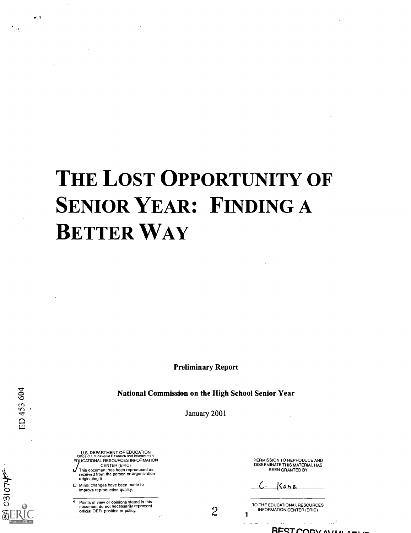# THE LOST OPPORTUNITY OF SENIOR YEAR: FINDING A BETTER WAY

Preliminary Report

National Commission on the High School Senior Year

January 2001

U.S. DEPARTMENT OF EDUCATION Office of Educational Research and Improvement EQUCATIONAL RESOURCES INFORMATION CENTER (ERIC) This document has been reproduced as received from the person or organization originating it.

Minor changes have been made to improve reproduction quality.

o Points of view or opinions stated in this document do not necessarily represent official OERI position or policy.

PERMISSION TO REPRODUCE AND DISSEMINATE THIS MATERIAL HAS BEEN GRANTED BY

Kane

TO THE EDUCATIONAL RESOURCES<br>
<sup>INFORMATION CENTER (ERIC)</sup>

 $R$ FST $C$  $D$  $V$  $N$  $B$ 

ED 453 604

**WALO1805** 

 $\sim 2$ 

ै।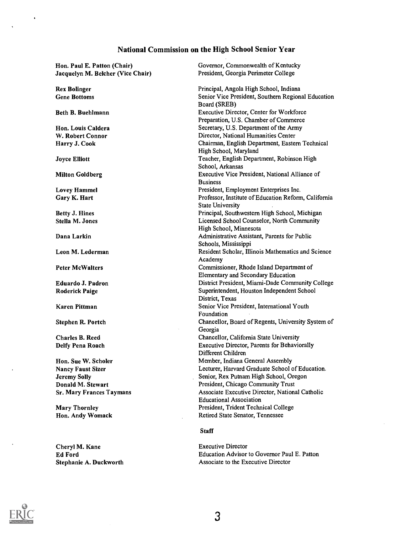## National Commission on the High School Senior Year

| Hon. Paul E. Patton (Chair)       | Governor, Commonwealth of Kentucky                   |  |  |
|-----------------------------------|------------------------------------------------------|--|--|
| Jacquelyn M. Belcher (Vice Chair) | President, Georgia Perimeter College                 |  |  |
|                                   |                                                      |  |  |
| <b>Rex Bolinger</b>               | Principal, Angola High School, Indiana               |  |  |
| <b>Gene Bottoms</b>               | Senior Vice President, Southern Regional Education   |  |  |
|                                   | Board (SREB)                                         |  |  |
| Beth B. Buehlmann                 | Executive Director, Center for Workforce             |  |  |
|                                   | Preparation, U.S. Chamber of Commerce                |  |  |
| Hon. Louis Caldera                | Secretary, U.S. Department of the Army               |  |  |
| W. Robert Connor                  | Director, National Humanities Center                 |  |  |
| Harry J. Cook                     | Chairman, English Department, Eastern Technical      |  |  |
|                                   | High School, Maryland                                |  |  |
| <b>Joyce Elliott</b>              | Teacher, English Department, Robinson High           |  |  |
|                                   | School, Arkansas                                     |  |  |
| <b>Milton Goldberg</b>            | Executive Vice President, National Alliance of       |  |  |
|                                   | <b>Business</b>                                      |  |  |
| <b>Lovey Hammel</b>               | President, Employment Enterprises Inc.               |  |  |
| Gary K. Hart                      | Professor, Institute of Education Reform, California |  |  |
|                                   | <b>State University</b>                              |  |  |
| <b>Betty J. Hines</b>             | Principal, Southwestern High School, Michigan        |  |  |
| Stella M. Jones                   | Licensed School Counselor, North Community           |  |  |
|                                   | High School, Minnesota                               |  |  |
| Dana Larkin                       | Administrative Assistant, Parents for Public         |  |  |
|                                   | Schools, Mississippi                                 |  |  |
| Leon M. Lederman                  | Resident Scholar, Illinois Mathematics and Science   |  |  |
|                                   | Academy                                              |  |  |
| <b>Peter McWalters</b>            | Commissioner, Rhode Island Department of             |  |  |
|                                   | Elementary and Secondary Education                   |  |  |
| Eduardo J. Padron                 | District President, Miami-Dade Community College     |  |  |
| <b>Roderick Paige</b>             | Superintendent, Houston Independent School           |  |  |
|                                   | District, Texas                                      |  |  |
| Karen Pittman                     | Senior Vice President, International Youth           |  |  |
|                                   | Foundation                                           |  |  |
| <b>Stephen R. Portch</b>          | Chancellor, Board of Regents, University System of   |  |  |
|                                   | Georgia                                              |  |  |
| <b>Charles B. Reed</b>            | Chancellor, California State University              |  |  |
| Delfy Pena Roach                  | Executive Director, Parents for Behaviorally         |  |  |
|                                   | Different Children                                   |  |  |
| Hon. Sue W. Scholer               | Member, Indiana General Assembly                     |  |  |
| <b>Nancy Faust Sizer</b>          | Lecturer, Harvard Graduate School of Education.      |  |  |
| <b>Jeremy Solly</b>               | Senior, Rex Putnam High School, Oregon               |  |  |
| Donald M. Stewart                 | President, Chicago Community Trust                   |  |  |
| <b>Sr. Mary Frances Taymans</b>   | Associate Executive Director, National Catholic      |  |  |
|                                   | <b>Educational Association</b>                       |  |  |
| <b>Mary Thornley</b>              | President, Trident Technical College                 |  |  |
| Hon. Andy Womack                  | Retired State Senator, Tennessee                     |  |  |
|                                   |                                                      |  |  |
|                                   | <b>Staff</b>                                         |  |  |

Executive Director Education Advisor to Governor Paul E. Patton Associate to the Executive Director



 $\ddot{\phantom{a}}$ 

 $\hat{\mathbf{r}}$ 

 $\langle \rangle$ 

Cheryl M. Kane Ed Ford

Stephanie A. Duckworth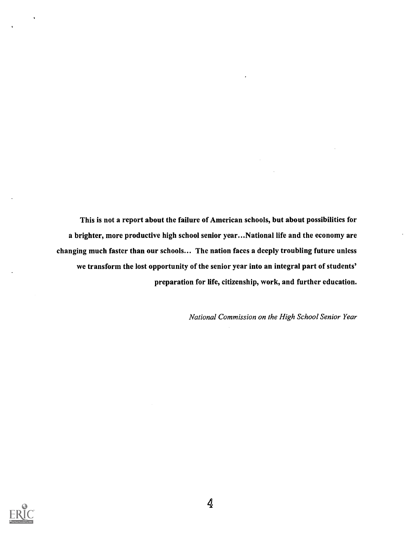This is not a report about the failure of American schools, but about possibilities for a brighter, more productive high school senior year...National life and the economy are changing much faster than our schools... The nation faces a deeply troubling future unless we transform the lost opportunity of the senior year into an integral part of students' preparation for life, citizenship, work, and further education.

National Commission on the High School Senior Year

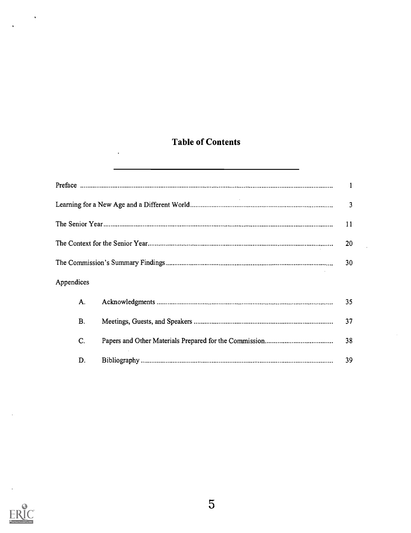## Table of Contents

 $\ddot{\phantom{a}}$ 

|            | 3  |
|------------|----|
|            | 11 |
|            | 20 |
|            | 30 |
| Appendices |    |
| А.         | 35 |
| <b>B.</b>  | 37 |
| C.         | 38 |
| D.         | 39 |



 $\ddot{\phantom{a}}$ 

 $\ddot{\phantom{0}}$ 

 $\bar{\mathbf{v}}$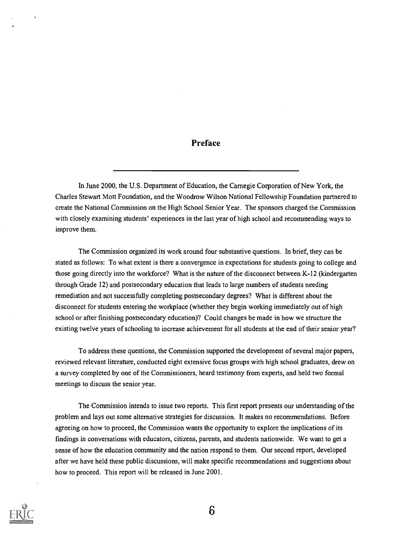### Preface

In June 2000, the U.S. Department of Education, the Carnegie Corporation of New York, the Charles Stewart Mott Foundation, and the Woodrow Wilson National Fellowship Foundation partnered to create the National Commission on the High School Senior Year. The sponsors charged the Commission with closely examining students' experiences in the last year of high school and recommending ways to improve them.

The Commission organized its work around four substantive questions. In brief, they can be stated as follows: To what extent is there a convergence in expectations for students going to college and those going directly into the workforce? What is the nature of the disconnect between K-12 (kindergarten through Grade 12) and postsecondary education that leads to large numbers of students needing remediation and not successfully completing postsecondary degrees? What is different about the disconnect for students entering the workplace (whether they begin working immediately out of high school or after finishing postsecondary education)? Could changes be made in how we structure the existing twelve years of schooling to increase achievement for all students at the end of their senior year?

To address these questions, the Commission supported the development of several major papers, reviewed relevant literature, conducted eight extensive focus groups with high school graduates, drew on a survey completed by one of the Commissioners, heard testimony from experts, and held two formal meetings to discuss the senior year.

The Commission intends to issue two reports. This first report presents our understanding of the problem and lays out some alternative strategies for discussion. It makes no recommendations. Before agreeing on how to proceed, the Commission wants the opportunity to explore the implications of its findings in conversations with educators, citizens, parents, and students nationwide. We want to get a sense of how the education community and the nation respond to them. Our second report, developed after we have held these public discussions, will make specific recommendations and suggestions about how to proceed. This report will be released in June 2001.

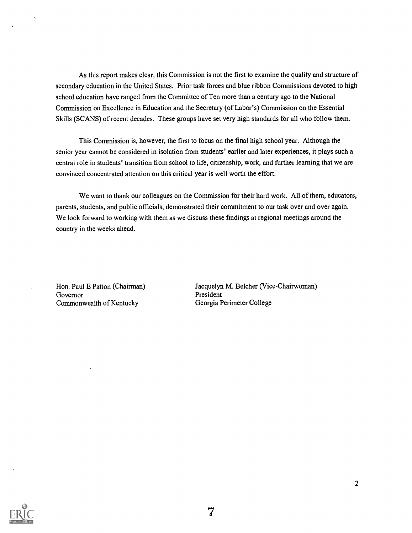As this report makes clear, this Commission is not the first to examine the quality and structure of secondary education in the United States. Prior task forces and blue ribbon Commissions devoted to high school education have ranged from the Committee of Ten more than a century ago to the National Commission on Excellence in Education and the Secretary (of Labor's) Commission on the Essential Skills (SCANS) of recent decades. These groups have set very high standards for all who follow them.

This Commission is, however, the first to focus on the final high school year. Although the senior year cannot be considered in isolation from students' earlier and later experiences, it plays such a central role in students' transition from school to life, citizenship, work, and further learning that we are convinced concentrated attention on this critical year is well worth the effort.

We want to thank our colleagues on the Commission for their hard work. All of them, educators, parents, students, and public officials, demonstrated their commitment to our task over and over again. We look forward to working with them as we discuss these findings at regional meetings around the country in the weeks ahead.

Governor<br>
Commonwealth of Kentucky<br>
Georgia Perimeter College Commonwealth of Kentucky

Hon. Paul E Patton (Chairman) Jacquelyn M. Belcher (Vice-Chairwoman)

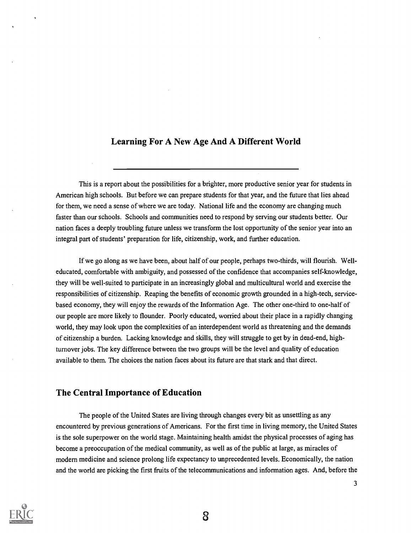## Learning For A New Age And A Different World

This is a report about the possibilities for a brighter, more productive senior year for students in American high schools. But before we can prepare students for that year, and the future that lies ahead for them, we need a sense of where we are today. National life and the economy are changing much faster than our schools. Schools and communities need to respond by serving our students better. Our nation faces a deeply troubling future unless we transform the lost opportunity of the senior year into an integral part of students' preparation for life, citizenship, work, and further education.

If we go along as we have been, about half of our people, perhaps two-thirds, will flourish. Welleducated, comfortable with ambiguity, and possessed of the confidence that accompanies self-knowledge, they will be well-suited to participate in an increasingly global and multicultural world and exercise the responsibilities of citizenship. Reaping the benefits of economic growth grounded in a high-tech, servicebased economy, they will enjoy the rewards of the Information Age. The other one-third to one-half of our people are more likely to flounder. Poorly educated, worried about their place in a rapidly changing world, they may look upon the complexities of an interdependent world as threatening and the demands of citizenship a burden. Lacking knowledge and skills, they will struggle to get by in dead-end, highturnover jobs. The key difference between the two groups will be the level and quality of education available to them. The choices the nation faces about its future are that stark and that direct.

## The Central Importance of Education

The people of the United States are living through changes every bit as unsettling as any encountered by previous generations of Americans. For the first time in living memory, the United States is the sole superpower on the world stage. Maintaining health amidst the physical processes of aging has become a preoccupation of the medical community, as well as of the public at large, as miracles of modern medicine and science prolong life expectancy to unprecedented levels. Economically, the nation and the world are picking the first fruits of the telecommunications and information ages. And, before the

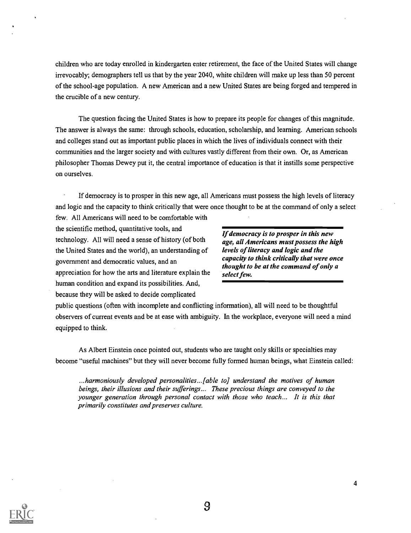children who are today enrolled in kindergarten enter retirement, the face of the United States will change irrevocably; demographers tell us that by the year 2040, white children will make up less than 50 percent of the school-age population. A new American and a new United States are being forged and tempered in the crucible of a new century.

The question facing the United States is how to prepare its people for changes of this magnitude. The answer is always the same: through schools, education, scholarship, and learning. American schools and colleges stand out as important public places in which the lives of individuals connect with their communities and the larger society and with cultures vastly different from their own. Or, as American philosopher Thomas Dewey put it, the central importance of education is that it instills some perspective on ourselves.

If democracy is to prosper in this new age, all Americans must possess the high levels of literacy and logic and the capacity to think critically that were once thought to be at the command of only a select few. All Americans will need to be comfortable with

the scientific method, quantitative tools, and technology. All will need a sense of history (of both age, all Americans must possess the high<br>the United States and the world), an understanding of levels of literacy and logic and the the United States and the world), an understanding of *levels of literacy and logic and the*<br>capacity to think critically that were once government and democratic values, and an thought to be at the command of only a<br>thought to be at the command of only a appreciation for how the arts and literature explain the select few. human condition and expand its possibilities. And, because they will be asked to decide complicated

If democracy is to prosper in this new

public questions (often with incomplete and conflicting information), all will need to be thoughtful observers of current events and be at ease with ambiguity. In the workplace, everyone will need a mind equipped to think.

As Albert Einstein once pointed out, students who are taught only skills or specialties may become "useful machines" but they will never become fully formed human beings, what Einstein called:

...harmoniously developed personalities..Jable to] understand the motives of human beings, their illusions and their sufferings... These precious things are conveyed to the younger generation through personal contact with those who teach... It is this that primarily constitutes and preserves culture.



 $\overline{\mathbf{4}}$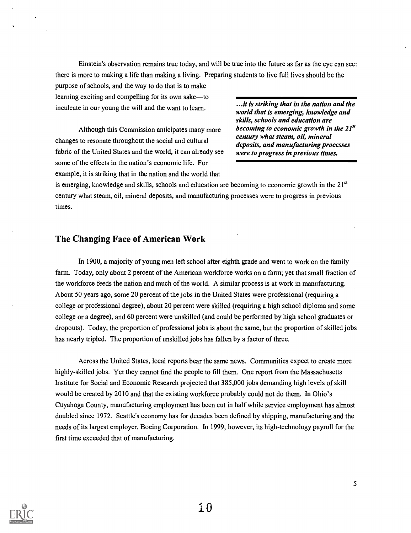Einstein's observation remains true today, and will be true into the future as far as the eye can see: there is more to making a life than making a living. Preparing students to live full lives should be the

purpose of schools, and the way to do that is to make learning exciting and compelling for its own sake—to<br>in all the striking that in the nation and the intervalse of the second the striking that in the nation and the inculcate in our young the will and the want to learn.

Although this Commission anticipates many more becoming to economic growth in the  $21^{st}$ <br>century what steam, oil, mineral changes to resonate throughout the social and cultural fabric of the United States and the world, it can already see were to progress in previous times. some of the effects in the nation's economic life. For example, it is striking that in the nation and the world that

world that is emerging, knowledge and skills, schools and education are deposits, and manufacturing processes

is emerging, knowledge and skills, schools and education are becoming to economic growth in the  $21<sup>st</sup>$ century what steam, oil, mineral deposits, and manufacturing processes were to progress in previous times.

## The Changing Face of American Work

In 1900, a majority of young men left school after eighth grade and went to work on the family farm. Today, only about 2 percent of the American workforce works on a farm; yet that small fraction of the workforce feeds the nation and much of the world. A similar process is at work in manufacturing. About 50 years ago, some 20 percent of the jobs in the United States were professional (requiring a college or professional degree), about 20 percent were skilled (requiring a high school diploma and some college or a degree), and 60 percent were unskilled (and could be performed by high school graduates or dropouts). Today, the proportion of professional jobs is about the same, but the proportion of skilled jobs has nearly tripled. The proportion of unskilled jobs has fallen by a factor of three.

Across the United States, local reports bear the same news. Communities expect to create more highly-skilled jobs. Yet they cannot find the people to fill them. One report from the Massachusetts Institute for Social and Economic Research projected that 385,000 jobs demanding high levels of skill would be created by 2010 and that the existing workforce probably could not do them. In Ohio's Cuyahoga County, manufacturing employment has been cut in half while service employment has almost doubled since 1972. Seattle's economy has for decades been defined by shipping, manufacturing and the needs of its largest employer, Boeing Corporation. In 1999, however, its high-technology payroll for the first time exceeded that of manufacturing.

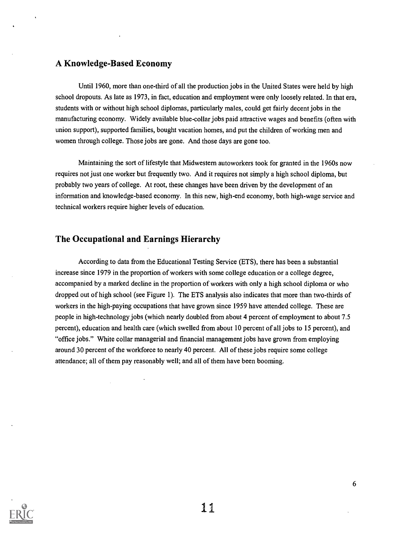## A Knowledge-Based Economy

Until 1960, more than one-third of all the production jobs in the United States were held by high school dropouts. As late as 1973, in fact, education and employment were only loosely related. In that era, students with or without high school diplomas, particularly males, could get fairly decent jobs in the manufacturing economy. Widely available blue-collar jobs paid attractive wages and benefits (often with union support), supported families, bought vacation homes, and put the children of working men and women through college. Those jobs are gone. And those days are gone too.

Maintaining the sort of lifestyle that Midwestern autoworkers took for granted in the 1960s now requires not just one worker but frequently two. And it requires not simply a high school diploma, but probably two years of college. At root, these changes have been driven by the development of an information and knowledge-based economy. In this new, high-end economy, both high-wage service and technical workers require higher levels of education.

### The Occupational and Earnings Hierarchy

According to data from the Educational Testing Service (ETS), there has been a substantial increase since 1979 in the proportion of workers with some college education or a college degree, accompanied by a marked decline in the proportion of workers with only a high school diploma or who dropped out of high school (see Figure 1). The ETS analysis also indicates that more than two-thirds of workers in the high-paying occupations that have grown since 1959 have attended college. These are people in high-technology jobs (which nearly doubled from about 4 percent of employment to about 7.5 percent), education and health care (which swelled from about 10 percent of all jobs to 15 percent), and "office jobs." White collar managerial and financial management jobs have grown from employing around 30 percent of the workforce to nearly 40 percent. All of these jobs require some college attendance; all of them pay reasonably well; and all of them have been booming.

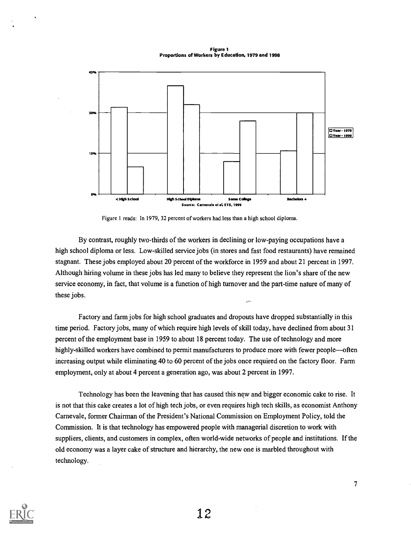Figure 1 Proportions of Workers by Education, 1979 and 1998



Figure 1 reads: In 1979, 32 percent of workers had less than a high school diploma.

By contrast, roughly two-thirds of the workers in declining or low-paying occupations have a high school diploma or less. Low-skilled service jobs (in stores and fast food restaurants) have remained stagnant. These jobs employed about 20 percent of the workforce in 1959 and about 21 percent in 1997. Although hiring volume in these jobs has led many to believe they represent the lion's share of the new service economy, in fact, that volume is a function of high turnover and the part-time nature of many of these jobs.

Factory and farm jobs for high school graduates and dropouts have dropped substantially in this time period. Factory jobs, many of which require high levels of skill today, have declined from about 31 percent of the employment base in 1959 to about 18 percent today. The use of technology and more highly-skilled workers have combined to permit manufacturers to produce more with fewer people—often increasing output while eliminating 40 to 60 percent of the jobs once required on the factory floor. Farm employment, only at about 4 percent a generation ago, was about 2 percent in 1997.

Technology has been the leavening that has caused this new and bigger economic cake to rise. It is not that this cake creates a lot of high tech jobs, or even requires high tech skills, as economist Anthony Carnevale, former Chairman of the President's National Commission on Employment Policy, told the Commission. It is that technology has empowered people with managerial discretion to work with suppliers, clients, and customers in complex, often world-wide networks of people and institutions. If the old economy was a layer cake of structure and hierarchy, the new one is marbled throughout with technology.

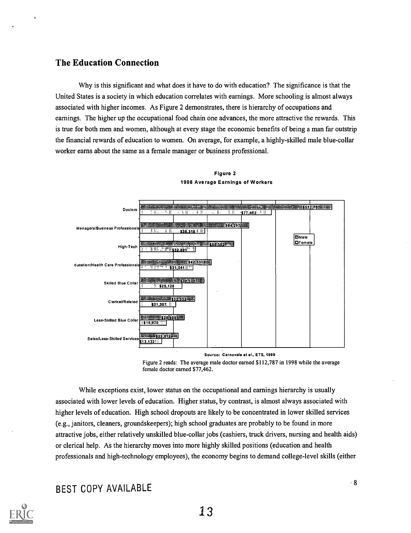## The Education Connection

Why is this significant and what does it have to do with education? The significance is that the United States is a society in which education correlates with earnings. More schooling is almost always associated with higher incomes. As Figure 2 demonstrates, there is hierarchy of occupations and earnings. The higher up the occupational food chain one advances, the more attractive the rewards. This is true for both men and women, although at every stage the economic benefits of being a man far outstrip the financial rewards of education to women. On average, for example, a highly-skilled male blue-collar worker earns about the same as a female manager or business professional.





Source: Carnevale at al., ETS, 1999

Figure 2 reads: The average male doctor earned \$112,787 in 1998 while the average female doctor earned \$77,462.

While exceptions exist, lower status on the occupational and earnings hierarchy is usually associated with lower levels of education. Higher status, by contrast, is almost always associated with higher levels of education. High school dropouts are likely to be concentrated in lower skilled services (e.g., janitors, cleaners, groundskeepers); high school graduates are probably to be found in more attractive jobs, either relatively unskilled blue-collar jobs (cashiers, truck drivers, nursing and health aids) or clerical help. As the hierarchy moves into more highly skilled positions (education and health professionals and high-technology employees), the economy begins to demand college-level skills (either

## BEST COPY AVAILABLE

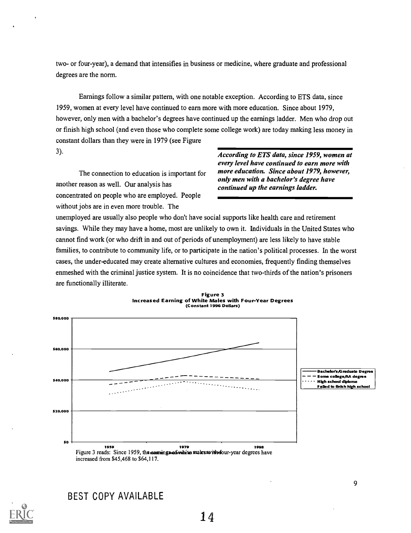two- or four-year), a demand that intensifies in business or medicine, where graduate and professional degrees are the norm.

Earnings follow a similar pattern, with one notable exception. According to ETS data, since 1959, women at every level have continued to earn more with more education. Since about 1979, however, only men with a bachelor's degrees have continued up the earnings ladder. Men who drop out or finish high school (and even those who complete some college work) are today making less money in constant dollars than they were in 1979 (see Figure

another reason as well. Our analysis has continued up the earnings ladder. concentrated on people who are employed. People without jobs are in even more trouble. The

3). According to ETS data, since 1959, women at every level have continued to earn more with The connection to education is important for more education. Since about 1979, however, only men with a bachelor's degree have

unemployed are usually also people who don't have social supports like health care and retirement savings. While they may have a home, most are unlikely to own it. Individuals in the United States who cannot find work (or who drift in and out of periods of unemployment) are less likely to have stable families, to contribute to community life, or to participate in the nation's political processes. In the worst cases, the under-educated may create alternative cultures and economies, frequently finding themselves enmeshed with the criminal justice system. It is no coincidence that two-thirds of the nation's prisoners are functionally illiterate.



Figure 3 Increased Earning of White Males with Four-Year Degrees (Constant 1996 Dollars)

BEST COPY AVAILABLE

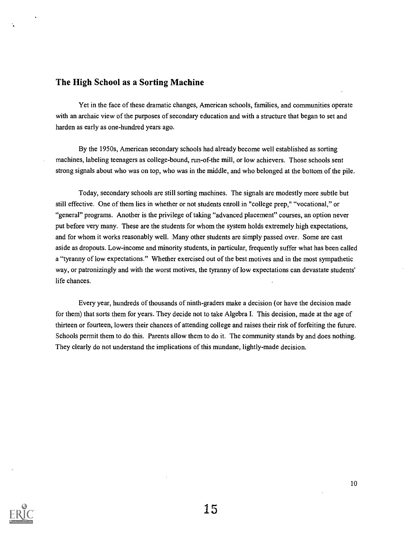### The High School as a Sorting Machine

Yet in the face of these dramatic changes, American schools, families, and communities operate with an archaic view of the purposes of secondary education and with a structure that began to set and harden as early as one-hundred years ago.

By the 1950s, American secondary schools had already become well established as sorting machines, labeling teenagers as college-bound, run-of-the mill, or low achievers. Those schools sent strong signals about who was on top, who was in the middle, and who belonged at the bottom of the pile.

Today, secondary schools are still sorting machines. The signals are modestly more subtle but still effective. One of them lies in whether or not students enroll in "college prep," "vocational," or "general" programs. Another is the privilege of taking "advanced placement" courses, an option never put before very many. These are the students for whom the system holds extremely high expectations, and for whom it works reasonably well. Many other students are simply passed over. Some are cast aside as dropouts. Low-income and minority students, in particular, frequently suffer what has been called a "tyranny of low expectations." Whether exercised out of the best motives and in the most sympathetic way, or patronizingly and with the worst motives, the tyranny of low expectations can devastate students' life chances.

Every year, hundreds of thousands of ninth-graders make a decision (or have the decision made for them) that sorts them for years. They decide not to take Algebra I. This decision, made at the age of thirteen or fourteen, lowers their chances of attending college and raises their risk of forfeiting the future. Schools permit them to do this. Parents allow them to do it. The community stands by and does nothing. They clearly do not understand the implications of this mundane, lightly-made decision.

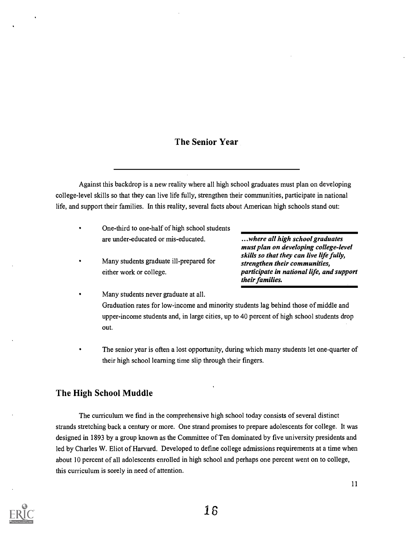## The Senior Year

Against this backdrop is a new reality where all high school graduates must plan on developing college-level skills so that they can live life fully, strengthen their communities, participate in national life, and support their families. In this reality, several facts about American high schools stand out:

- One-third to one-half of high school students are under-educated or mis-educated.
- Many students graduate ill-prepared for either work or college.

...where all high school graduates must plan on developing college-level skills so that they can live life fully, strengthen their communities, participate in national life, and support their families.

- Many students never graduate at all. Graduation rates for low-income and minority students lag behind those of middle and upper-income students and, in large cities, up to 40 percent of high school students drop out.
- The senior year is often a lost opportunity, during which many students let one-quarter of their high school learning time slip through their fingers.

## The High School Muddle

The curriculum we find in the comprehensive high school today consists of several distinct strands stretching back a century or more. One strand promises to prepare adolescents for college. It was designed in 1893 by a group known as the Committee of Ten dominated by five university presidents and led by Charles W. Eliot of Harvard. Developed to define college admissions requirements at a time when about 10 percent of all adolescents enrolled in high school and perhaps one percent went on to college, this curriculum is sorely in need of attention.

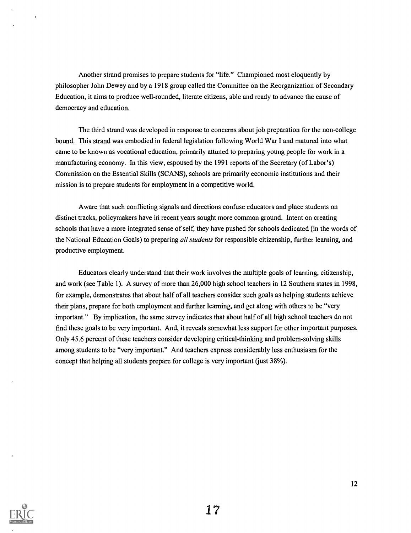Another strand promises to prepare students for "life." Championed most eloquently by philosopher John Dewey and by a 1918 group called the Committee on the Reorganization of Secondary Education, it aims to produce well-rounded, literate citizens, able and ready to advance the cause of democracy and education.

The third strand was developed in response to concerns about job preparation for the non-college bound. This strand was embodied in federal legislation following World War I and matured into what came to be known as vocational education, primarily attuned to preparing young people for work in a manufacturing economy. In this view, espoused by the 1991 reports of the Secretary (of Labor's) Commission on the Essential Skills (SCANS), schools are primarily economic institutions and their mission is to prepare students for employment in a competitive world.

Aware that such conflicting signals and directions confuse educators and place students on distinct tracks, policymakers have in recent years sought more common ground. Intent on creating schools that have a more integrated sense of self, they have pushed for schools dedicated (in the words of the National Education Goals) to preparing *all students* for responsible citizenship, further learning, and productive employment.

Educators clearly understand that their work involves the multiple goals of learning, citizenship, and work (see Table 1). A survey of more than 26,000 high school teachers in 12 Southern states in 1998, for example, demonstrates that about half of all teachers consider such goals as helping students achieve their plans, prepare for both employment and further learning, and get along with others to be "very important." By implication, the same survey indicates that about half of all high school teachers do not find these goals to be very important. And, it reveals somewhat less support for other important purposes. Only 45.6 percent of these teachers consider developing critical-thinking and problem-solving skills among students to be "very important." And teachers express considerably less enthusiasm for the concept that helping all students prepare for college is very important (just 38%).



17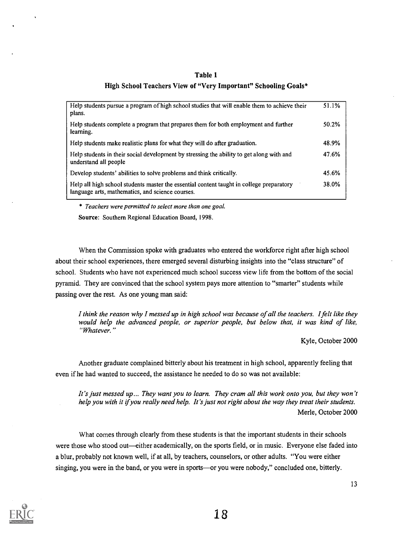#### Table 1

#### High School Teachers View of "Very Important" Schooling Goals\*

| Help students pursue a program of high school studies that will enable them to achieve their<br>plans.                                       | 51.1% |
|----------------------------------------------------------------------------------------------------------------------------------------------|-------|
| Help students complete a program that prepares them for both employment and further<br>learning.                                             | 50.2% |
| Help students make realistic plans for what they will do after graduation.                                                                   | 48.9% |
| Help students in their social development by stressing the ability to get along with and<br>understand all people                            | 47.6% |
| Develop students' abilities to solve problems and think critically.                                                                          | 45.6% |
| Help all high school students master the essential content taught in college preparatory<br>language arts, mathematics, and science courses. | 38.0% |

\* Teachers were permitted to select more than one goal.

Source: Southern Regional Education Board, 1998.

When the Commission spoke with graduates who entered the workforce right after high school about their school experiences, there emerged several disturbing insights into the "class structure" of school. Students who have not experienced much school success view life from the bottom of the social pyramid. They are convinced that the school system pays more attention to "smarter" students while passing over the rest. As one young man said:

I think the reason why I messed up in high school was because of all the teachers. I felt like they would help the advanced people, or superior people, but below that, it was kind of like, "Whatever."

Kyle, October 2000

Another graduate complained bitterly about his treatment in high school, apparently feeling that even if he had wanted to succeed, the assistance he needed to do so was not available:

It's just messed up... They want you to learn. They cram all this work onto you, but they won't help you with it if you really need help. It's just not right about the way they treat their students. Merle, October 2000

What comes through clearly from these students is that the important students in their schools were those who stood out—either academically, on the sports field, or in music. Everyone else faded into a blur, probably not known well, if at all, by teachers, counselors, or other adults. "You were either singing, you were in the band, or you were in sports—or you were nobody," concluded one, bitterly.

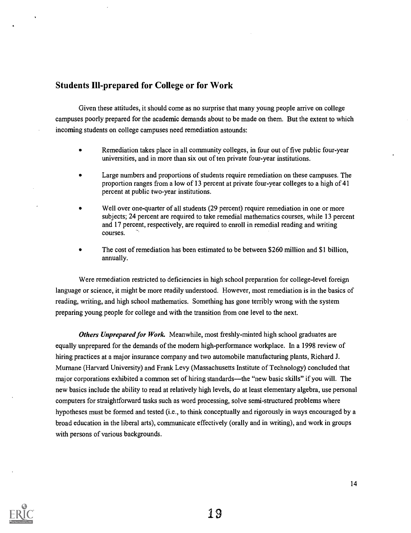## Students Ill-prepared for College or for Work

Given these attitudes, it should come as no surprise that many young people arrive on college campuses poorly prepared for the academic demands about to be made on them. But the extent to which incoming students on college campuses need remediation astounds:

- Remediation takes place in all community colleges, in four out of five public four-year  $\bullet$ universities, and in more than six out of ten private four-year institutions.
- Large numbers and proportions of students require remediation on these campuses. The proportion ranges from a low of 13 percent at private four-year colleges to a high of 41 percent at public two-year institutions.
- Well over one-quarter of all students (29 percent) require remediation in one or more subjects; 24 percent are required to take remedial mathematics courses, while 13 percent and 17 percent, respectively, are required to enroll in remedial reading and writing courses.
- The cost of remediation has been estimated to be between \$260 million and \$1 billion, annually.

Were remediation restricted to deficiencies in high school preparation for college-level foreign language or science, it might be more readily understood. However, most remediation is in the basics of reading, writing, and high school mathematics. Something has gone terribly wrong with the system preparing young people for college and with the transition from one level to the next.

Others Unprepared for Work. Meanwhile, most freshly-minted high school graduates are equally unprepared for the demands of the modern high-performance workplace. In a 1998 review of hiring practices at a major insurance company and two automobile manufacturing plants, Richard J. Murnane (Harvard University) and Frank Levy (Massachusetts Institute of Technology) concluded that major corporations exhibited a common set of hiring standards—the "new basic skills" if you will. The new basics include the ability to read at relatively high levels, do at least elementary algebra, use personal computers for straightforward tasks such as word processing, solve semi-structured problems where hypotheses must be formed and tested (i.e., to think conceptually and rigorously in ways encouraged by a broad education in the liberal arts), communicate effectively (orally and in writing), and work in groups with persons of various backgrounds.

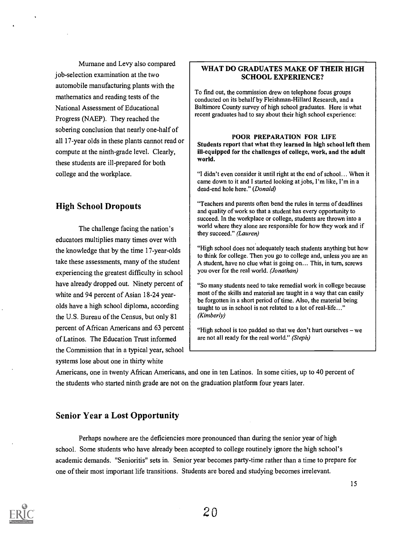Mumane and Levy also compared job-selection examination at the two automobile manufacturing plants with the mathematics and reading tests of the National Assessment of Educational Progress (NAEP). They reached the sobering conclusion that nearly one-half of all 17-year olds in these plants cannot read or compute at the ninth-grade level. Clearly, these students are ill-prepared for both college and the workplace.

## High School Dropouts

The challenge facing the nation's educators multiplies many times over with the knowledge that by the time 17-year-olds take these assessments, many of the student experiencing the greatest difficulty in school have already dropped out. Ninety percent of white and 94 percent of Asian 18-24 yearolds have a high school diploma, according the U.S. Bureau of the Census, but only 81 percent of African Americans and 63 percent of Latinos. The Education Trust informed the Commission that in a typical year, school systems lose about one in thirty white

#### WHAT DO GRADUATES MAKE OF THEIR HIGH SCHOOL EXPERIENCE?

To find out, the commission drew on telephone focus groups conducted on its behalf by Fleishman-Hillard Research, and a Baltimore County survey of high school graduates. Here is what recent graduates had to say about their high school experience:

#### POOR PREPARATION FOR LIFE Students report that what they learned in high school left them ill-equipped for the challenges of college, work, and the adult world.

"I didn't even consider it until right at the end of school... When it came down to it and I started looking at jobs, I'm like, I'm in a dead-end hole here." (Donald)

"Teachers and parents often bend the rules in terms of deadlines and quality of work so that a student has every opportunity to succeed. In the workplace or college, students are thrown into a world where they alone are responsible for how they work and if they succeed." (Lauren)

"High school does not adequately teach students anything but how to think for college. Then you go to college and, unless you are an A student, have no clue what is going on... This, in turn, screws you over for the real world. (Jonathan)

"So many students need to take remedial work in college because most of the skills and material are taught in a way that can easily be forgotten in a short period of time. Also, the material being taught to us in school is not related to a lot of real-life..." (Kimberly)

"High school is too padded so that we don't hurt ourselves  $-$  we are not all ready for the real world." (Steph)

Americans, one in twenty African Americans, and one in ten Latinos. In some cities, up to 40 percent of the students who started ninth grade are not on the graduation platform four years later.

## Senior Year a Lost Opportunity

Perhaps nowhere are the deficiencies more pronounced than during the senior year of high school. Some students who have already been accepted to college routinely ignore the high school's academic demands. "Senioritis" sets in. Senior year becomes party-time rather than a time to prepare for one of their most important life transitions. Students are bored and studying becomes irrelevant.

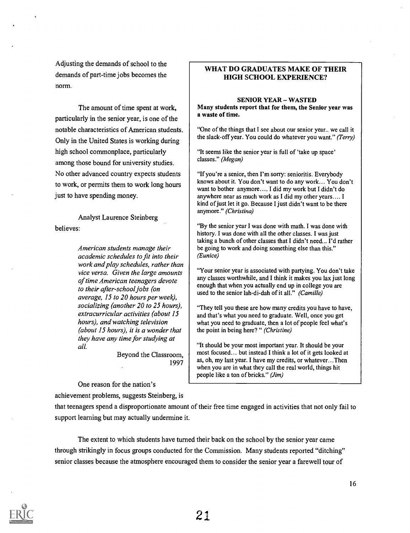Adjusting the demands of school to the demands of part-time jobs becomes the norm.

The amount of time spent at work, particularly in the senior year, is one of the notable characteristics of American students. Only in the United States is working during high school commonplace, particularly among those bound for university studies. No other advanced country expects students to work, or permits them to work long hours just to have spending money.

Analyst Laurence Steinberg believes:

> American students manage their academic schedules to fit into their work and play schedules, rather than vice versa. Given the large amounts of time American teenagers devote to their after-school jobs (on average, 15 to 20 hours per week), socializing (another 20 to 25 hours), extracurricular activities (about 15 hours), and watching television (about 15 hours), it is a wonder that they have any time for studying at all.

> > Beyond the Classroom, 1997

One reason for the nation's

achievement problems, suggests Steinberg, is

WHAT DO GRADUATES MAKE OF THEIR HIGH SCHOOL EXPERIENCE?

#### **SENIOR YEAR - WASTED**

Many students report that for them, the Senior year was a waste of time.

"One of the things that I see about our senior year.. we call it the slack-off year. You could do whatever you want." (Terry)

"It seems like the senior year is full of 'take up space' classes." (Megan)

"If you're a senior, then I'm sorry: senioritis. Everybody knows about it. You don't want to do any work... You don't want to bother anymore.... I did my work but I didn't do anywhere near as much work as I did my other years.... I kind of just let it go. Because I just didn't want to be there anymore." (Christina)

"By the senior year I was done with math. I was done with history. I was done with all the other classes. I was just taking a bunch of other classes that I didn't need... I'd rather be going to work and doing something else than this." (Eunice)

"Your senior year is associated with partying. You don't take any classes worthwhile, and I think it makes you lax just long enough that when you actually end up in college you are used to the senior lah-di-dah of it all." (Camille)

"They tell you these are how many credits you have to have, and that's what you need to graduate. Well, once you get what you need to graduate, then a lot of people feel what's the point in being here? " (Christine)

"It should be your most important year. It should be your most focused... but instead I think a lot of it gets looked at as, oh, my last year. I have my credits, or whatever...Then when you are in what they call the real world, things hit people like a ton of bricks." (Jim)

that teenagers spend a disproportionate amount of their free time engaged in activities that not only fail to support learning but may actually undermine it.

The extent to which students have turned their back on the school by the senior year came through strikingly in focus groups conducted for the Commission. Many students reported "ditching" senior classes because the atmosphere encouraged them to consider the senior year a farewell tour of

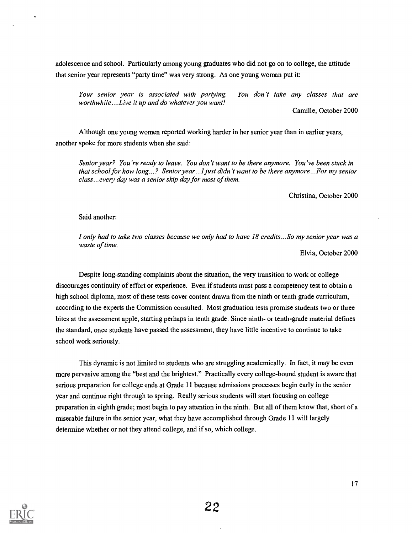adolescence and school. Particularly among young graduates who did not go on to college, the attitude that senior year represents "party time" was very strong. As one young woman put it:

Your senior year is associated with partying. You don't take any classes that are worthwhile....Live it up and do whatever you want!

Camille, October 2000

Although one young women reported working harder in her senior year than in earlier years, another spoke for more students when she said:

Senior year? You're ready to leave. You don't want to be there anymore. You've been stuck in that school for how long...? Senior year...I just didn't want to be there anymore...For my senior class... every day was a senior skip day for most of them.

Christina, October 2000

#### Said another:

I only had to take two classes because we only had to have 18 credits...So my senior year was a waste of time.

Elvia, October 2000

Despite long-standing complaints about the situation, the very transition to work or college discourages continuity of effort or experience. Even if students must pass a competency test to obtain a high school diploma, most of these tests cover content drawn from the ninth or tenth grade curriculum, according to the experts the Commission consulted. Most graduation tests promise students two or three bites at the assessment apple, starting perhaps in tenth grade. Since ninth- or tenth-grade material defines the standard, once students have passed the assessment, they have little incentive to continue to take school work seriously.

This dynamic is not limited to students who are struggling academically. In fact, it may be even more pervasive among the "best and the brightest." Practically every college-bound student is aware that serious preparation for college ends at Grade 11 because admissions processes begin early in the senior year and continue right through to spring. Really serious students will start focusing on college preparation in eighth grade; most begin to pay attention in the ninth. But all of them know that, short of a miserable failure in the senior year, what they have accomplished through Grade 11 will largely determine whether or not they attend college, and if so, which college.

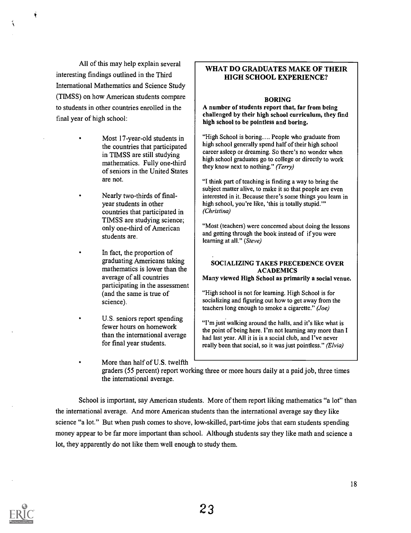All of this may help explain several interesting findings outlined in the Third International Mathematics and Science Study (TIMSS) on how American students compare to students in other countries enrolled in the final year of high school:

٠

- Most 17-year-old students in the countries that participated in TIMSS are still studying mathematics. Fully one-third of seniors in the United States are not.
- Nearly two-thirds of finalyear students in other countries that participated in TIMSS are studying science; only one-third of American students are.
- In fact, the proportion of graduating Americans taking mathematics is lower than the average of all countries participating in the assessment (and the same is true of science).
- U.S. seniors report spending fewer hours on homework than the international average for final year students.
- More than half of U.S. twelfth

#### WHAT DO GRADUATES MAKE OF THEIR HIGH SCHOOL EXPERIENCE?

#### BORING

A number of students report that, far from being challenged by their high school curriculum, they find high school to be pointless and boring.

"High School is boring.... People who graduate from high school generally spend half of their high school career asleep or dreaming. So there's no wonder when high school graduates go to college or directly to work they know next to nothing." (Terry)

"I think part of teaching is finding a way to bring the subject matter alive, to make it so that people are even interested in it. Because there's some things you learn in high school, you're like, 'this is totally stupid.'" (Christina)

"Most (teachers) were concerned about doing the lessons and getting through the book instead of if you were learning at all." (Steve)

#### SOCIALIZING TAKES PRECEDENCE OVER ACADEMICS

Many viewed High School as primarily a social venue.

"High school is not for learning. High School is for socializing and figuring out how to get away from the teachers long enough to smoke a cigarette." (Joe)

"I'm just walking around the halls, and it's like what is the point of being here. I'm not learning any more than I had last year. All it is is a social club, and I've never really been that social, so it was just pointless." (Elvia)

graders (55 percent) report working three or more hours daily at a paid job, three times the international average.

School is important, say American students. More of them report liking mathematics "a lot" than the international average. And more American students than the international average say they like science "a lot." But when push comes to shove, low-skilled, part-time jobs that earn students spending money appear to be far more important than school. Although students say they like math and science a lot, they apparently do not like them well enough to study them.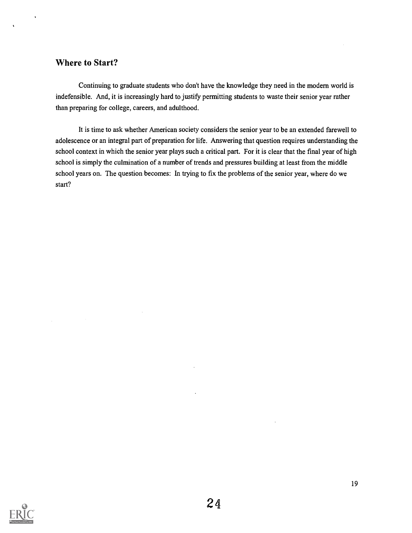## Where to Start?

Continuing to graduate students who don't have the knowledge they need in the modern world is indefensible. And, it is increasingly hard to justify permitting students to waste their senior year rather than preparing for college, careers, and adulthood.

It is time to ask whether American society considers the senior year to be an extended farewell to adolescence or an integral part of preparation for life. Answering that question requires understanding the school context in which the senior year plays such a critical part. For it is clear that the final year of high school is simply the culmination of a number of trends and pressures building at least from the middle school years on. The question becomes: In trying to fix the problems of the senior year, where do we start?

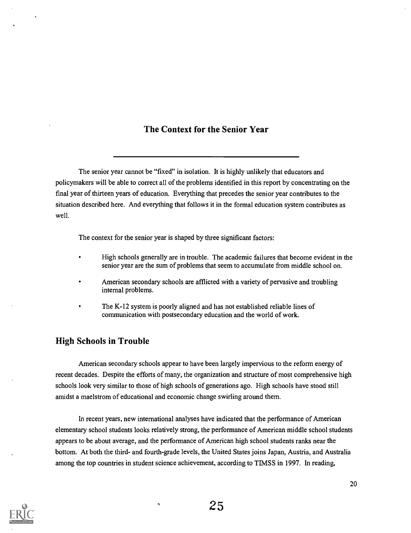## The Context for the Senior Year

The senior year cannot be "fixed" in isolation. It is highly unlikely that educators and policymakers will be able to correct all of the problems identified in this report by concentrating on the final year of thirteen years of education. Everything that precedes the senior year contributes to the situation described here. And everything that follows it in the formal education system contributes as well.

The context for the senior year is shaped by three significant factors:

- High schools generally are in trouble. The academic failures that become evident in the senior year are the sum of problems that seem to accumulate from middle school on.
- American secondary schools are afflicted with a variety of pervasive and troubling internal problems.
- The K-12 system is poorly aligned and has not established reliable lines of communication with postsecondary education and the world of work.

## High Schools in Trouble

American secondary schools appear to have been largely impervious to the reform energy of recent decades. Despite the efforts of many, the organization and structure of most comprehensive high schools look very similar to those of high schools of generations ago. High schools have stood still amidst a maelstrom of educational and economic change swirling around them.

In recent years, new international analyses have indicated that the performance of American elementary school students looks relatively strong, the performance of American middle school students appears to be about average, and the performance of American high school students ranks near the bottom. At both the third- and fourth-grade levels, the United States joins Japan, Austria, and Australia among the top countries in student science achievement, according to TIMSS in 1997. In reading,

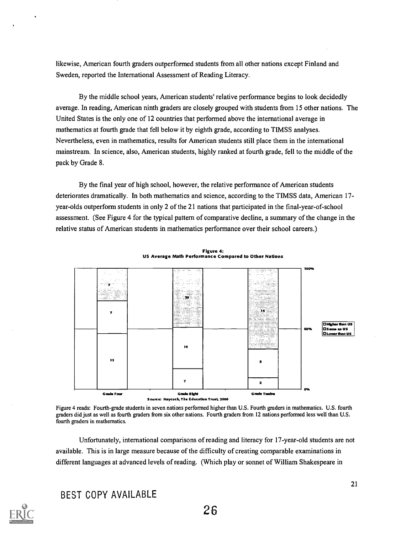likewise, American fourth graders outperformed students from all other nations except Finland and Sweden, reported the International Assessment of Reading Literacy.

By the middle school years, American students' relative performance begins to look decidedly average. In reading, American ninth graders are closely grouped with students from 15 other nations. The United States is the only one of 12 countries that performed above the international average in mathematics at fourth grade that fell below it by eighth grade, according to TIMSS analyses. Nevertheless, even in mathematics, results for American students still place them in the international mainstream. In science, also, American students, highly ranked at fourth grade, fell to the middle of the pack by Grade 8.

By the final year of high school, however, the relative performance of American students deteriorates dramatically. In both mathematics and science, according to the TIMSS data, American 17 year -olds outperform students in only 2 of the 21 nations that participated in the final-year-of-school assessment. (See Figure 4 for the typical pattern of comparative decline, a summary of the change in the relative status of American students in mathematics performance over their school careers.)



Figure 4: US Average Math Performance Compared to Other Nations

Figure 4 reads: Fourth-grade students in seven nations performed higher than U.S. Fourth graders in mathematics. U.S. fourth graders did just as well as fourth graders from six other nations. Fourth graders from 12 nations performed less well than U.S. fourth graders in mathematics.

Unfortunately, international comparisons of reading and literacy for 17-year-old students are not available. This is in large measure because of the difficulty of creating comparable examinations in different languages at advanced levels of reading. (Which play or sonnet of William Shakespeare in

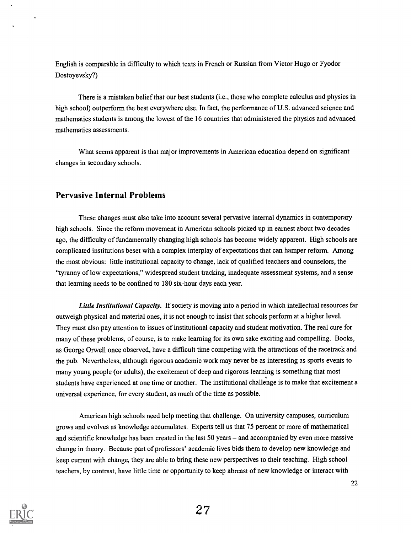English is comparable in difficulty to which texts in French or Russian from Victor Hugo or Fyodor Dostoyevsky?)

There is a mistaken belief that our best students (i.e., those who complete calculus and physics in high school) outperform the best everywhere else. In fact, the performance of U.S. advanced science and mathematics students is among the lowest of the 16 countries that administered the physics and advanced mathematics assessments.

What seems apparent is that major improvements in American education depend on significant changes in secondary schools.

## Pervasive Internal Problems

These changes must also take into account several pervasive internal dynamics in contemporary high schools. Since the reform movement in American schools picked up in earnest about two decades ago, the difficulty of fundamentally changing high schools has become widely apparent. High schools are complicated institutions beset with a complex interplay of expectations that can hamper reform. Among the most obvious: little institutional capacity to change, lack of qualified teachers and counselors, the "tyranny of low expectations," widespread student tracking, inadequate assessment systems, and a sense that learning needs to be confined to 180 six-hour days each year.

Little Institutional Capacity. If society is moving into a period in which intellectual resources far outweigh physical and material ones, it is not enough to insist that schools perform at a higher level. They must also pay attention to issues of institutional capacity and student motivation. The real cure for many of these problems, of course, is to make learning for its own sake exciting and compelling. Books, as George Orwell once observed, have a difficult time competing with the attractions of the racetrack and the pub. Nevertheless, although rigorous academic work may never be as interesting as sports events to many young people (or adults), the excitement of deep and rigorous learning is something that most students have experienced at one time or another. The institutional challenge is to make that excitement a universal experience, for every student, as much of the time as possible.

American high schools need help meeting that challenge. On university campuses, curriculum grows and evolves as knowledge accumulates. Experts tell us that 75 percent or more of mathematical and scientific knowledge has been created in the last 50 years – and accompanied by even more massive change in theory. Because part of professors' academic lives bids them to develop new knowledge and keep current with change, they are able to bring these new perspectives to their teaching. High school teachers, by contrast, have little time or opportunity to keep abreast of new knowledge or interact with

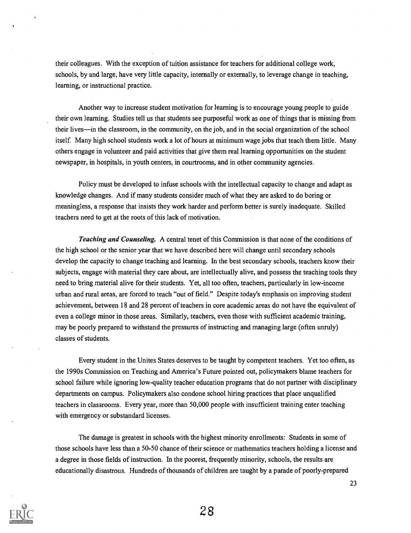their colleagues. With the exception of tuition assistance for teachers for additional college work, schools, by and large, have very little capacity, internally or externally, to leverage change in teaching, learning, or instructional practice.

Another way to increase student motivation for learning is to encourage young people to guide their own learning. Studies tell us that students see purposeful work as one of things that is missing from their lives—in the classroom, in the community, on the job, and in the social organization of the school itself. Many high school students work a lot of hours at minimum wage jobs that teach them little. Many others engage in volunteer and paid activities that give them real learning opportunities on the student newspaper, in hospitals, in youth centers, in courtrooms, and in other community agencies.

Policy must be developed to infuse schools with the intellectual capacity to change and adapt as knowledge changes. And if many students consider much of what they are asked to do boring or meaningless, a response that insists they work harder and perform better is surely inadequate. Skilled teachers need to get at the roots of this lack of motivation.

Teaching and Counseling. A central tenet of this Commission is that none of the conditions of the high school or the senior year that we have described here will change until secondary schools develop the capacity to change teaching and learning. In the best secondary schools, teachers know their subjects, engage with material they care about, are intellectually alive, and possess the teaching tools they need to bring material alive for their students. Yet, all too often, teachers, particularly in low-income urban and rural areas, are forced to teach "out of field." Despite today's emphasis on improving student achievement, between 18 and 28 percent of teachers in core academic areas do not have the equivalent of even a college minor in those areas. Similarly, teachers, even those with sufficient academic training, may be poorly prepared to withstand the pressures of instructing and managing large (often unruly) classes of students.

Every student in the Unites States deserves to be taught by competent teachers. Yet too often, as the 1990s Commission on Teaching and America's Future pointed out, policymakers blame teachers for school failure while ignoring low-quality teacher education programs that do not partner with disciplinary departments on campus. Policymakers also condone school hiring practices that place unqualified teachers in classrooms. Every year, more than 50,000 people with insufficient training enter teaching with emergency or substandard licenses.

The damage is greatest in schools with the highest minority enrollments: Students in some of those schools have less than a 50-50 chance of their science or mathematics teachers holding a license and a degree in those fields of instruction. In the poorest, frequently minority, schools, the results are educationally disastrous. Hundreds of thousands of children are taught by a parade of poorly-prepared

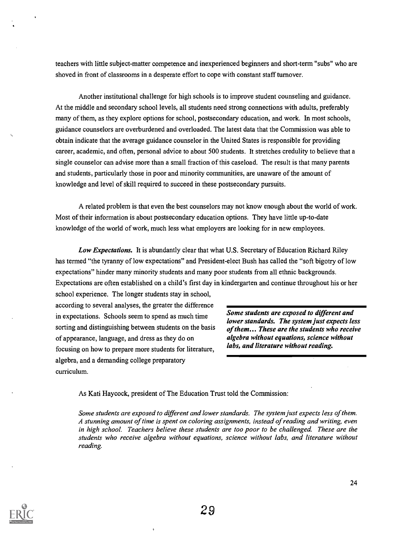teachers with little subject-matter competence and inexperienced beginners and short-term "subs" who are shoved in front of classrooms in a desperate effort to cope with constant staff turnover.

Another institutional challenge for high schools is to improve student counseling and guidance. At the middle and secondary school levels, all students need strong connections with adults, preferably many of them, as they explore options for school, postsecondary education, and work. In most schools, guidance counselors are overburdened and overloaded. The latest data that the Commission was able to obtain indicate that the average guidance counselor in the United States is responsible for providing career, academic, and often, personal advice to about 500 students. It stretches credulity to believe that a single counselor can advise more than a small fraction of this caseload. The result is that many parents and students, particularly those in poor and minority communities, are unaware of the amount of knowledge and level of skill required to succeed in these postsecondary pursuits.

A related problem is that even the best counselors may not know enough about the world of work. Most of their information is about postsecondary education options. They have little up-to-date knowledge of the world of work, much less what employers are looking for in new employees.

Low Expectations. It is abundantly clear that what U.S. Secretary of Education Richard Riley has termed "the tyranny of low expectations" and President-elect Bush has called the "soft bigotry of low expectations" hinder many minority students and many poor students from all ethnic backgrounds. Expectations are often established on a child's first day in kindergarten and continue throughout his or her

school experience. The longer students stay in school, according to several analyses, the greater the difference in expectations. Schools seem to spend as much time sorting and distinguishing between students on the basis of appearance, language, and dress as they do on focusing on how to prepare more students for literature, algebra, and a demanding college preparatory curriculum.

Some students are exposed to different and lower standards. The system just expects less of them... These are the students who receive algebra without equations, science without labs, and literature without reading.

As Kati Haycock, president of The Education Trust told the Commission:

Some students are exposed to different and lower standards. The system just expects less of them. A stunning amount of time is spent on coloring assignments, instead of reading and writing, even in high school. Teachers believe these students are too poor to be challenged. These are the students who receive algebra without equations, science without labs, and literature without reading.

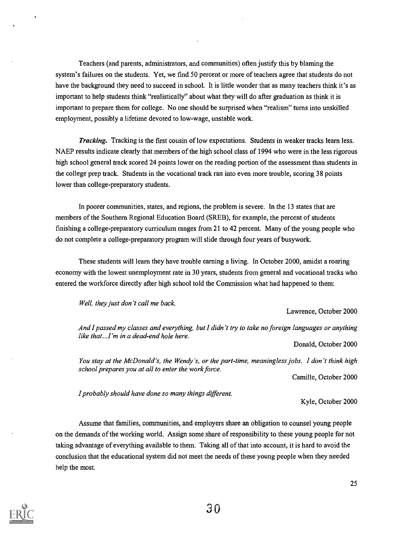Teachers (and parents, administrators, and communities) often justify this by blaming the system's failures on the students. Yet, we find 50 percent or more of teachers agree that students do not have the background they need to succeed in school. It is little wonder that as many teachers think it's as important to help students think "realistically" about what they will do after graduation as think it is important to prepare them for college. No one should be surprised when "realism" turns into unskilled employment, possibly a lifetime devoted to low-wage, unstable work.

Tracking. Tracking is the first cousin of low expectations. Students in weaker tracks learn less. NAEP results indicate clearly that members of the high school class of 1994 who were in the less rigorous high school general track scored 24 points lower on the reading portion of the assessment than students in the college prep track. Students in the vocational track ran into even more trouble, scoring 38 points lower than college-preparatory students.

In poorer communities, states, and regions, the problem is severe. In the 13 states that are members of the Southern Regional Education Board (SREB), for example, the percent of students finishing a college-preparatory curriculum ranges from 21 to 42 percent. Many of the young people who do not complete a college-preparatory program will slide through four years of busywork.

These students will learn they have trouble earning a living. In October 2000, amidst a roaring economy with the lowest unemployment rate in 30 years, students from general and vocational tracks who entered the workforce directly after high school told the Commission what had happened to them:

Well, they just don't call me back.

Lawrence, October 2000

And I passed my classes and everything, but I didn't try to take no foreign languages or anything like that...I'm in a dead-end hole here.

Donald, October 2000

You stay at the McDonald's, the Wendy's, or the part-time, meaningless jobs. I don't think high school prepares you at all to enter the work force.

Camille, October 2000

I probably should have done so many things different.

Kyle, October 2000

Assume that families, communities, and employers share an obligation to counsel young people on the demands of the working world. Assign some share of responsibility to these young people for not taking advantage of everything available to them. Taking all of that into account, it is hard to avoid the conclusion that the educational system did not meet the needs of these young people when they needed help the most.

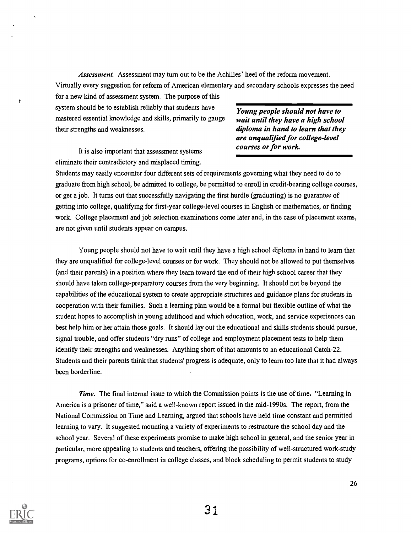Assessment. Assessment may turn out to be the Achilles' heel of the reform movement. Virtually every suggestion for reform of American elementary and secondary schools expresses the need for a new kind of assessment system. The purpose of this

system should be to establish reliably that students have mastered essential knowledge and skills, primarily to gauge their strengths and weaknesses.

It is also important that assessment systems eliminate their contradictory and misplaced timing.

Young people should not have to wait until they have a high school diploma in hand to learn that they are unqualified for college-level courses or for work.

Students may easily encounter four different sets of requirements governing what they need to do to graduate from high school, be admitted to college, be permitted to enroll in credit-bearing college courses, or get a job. It turns out that successfully navigating the first hurdle (graduating) is no guarantee of getting into college, qualifying for first-year college-level courses in English or mathematics, or finding work. College placement and job selection examinations come later and, in the case of placement exams, are not given until students appear on campus.

Young people should not have to wait until they have a high school diploma in hand to learn that they are unqualified for college-level courses or for work. They should not be allowed to put themselves (and their parents) in a position where they learn toward the end of their high school career that they should have taken college-preparatory courses from the very beginning. It should not be beyond the capabilities of the educational system to create appropriate structures and guidance plans for students in cooperation with their families. Such a learning plan would be a formal but flexible outline of what the student hopes to accomplish in young adulthood and which education, work, and service experiences can best help him or her attain those goals. It should lay out the educational and skills students should pursue, signal trouble, and offer students "dry runs" of college and employment placement tests to help them identify their strengths and weaknesses. Anything short of that amounts to an educational Catch-22. Students and their parents think that students' progress is adequate, only to learn too late that it had always been borderline.

Time. The final internal issue to which the Commission points is the use of time. "Learning in America is a prisoner of time," said a well-known report issued in the mid-1990s. The report, from the National Commission on Time and Learning, argued that schools have held time constant and permitted learning to vary. It suggested mounting a variety of experiments to restructure the school day and the school year. Several of these experiments promise to make high school in general, and the senior year in particular, more appealing to students and teachers, offering the possibility of well-structured work-study programs, options for co-enrollment in college classes, and block scheduling to permit students to study

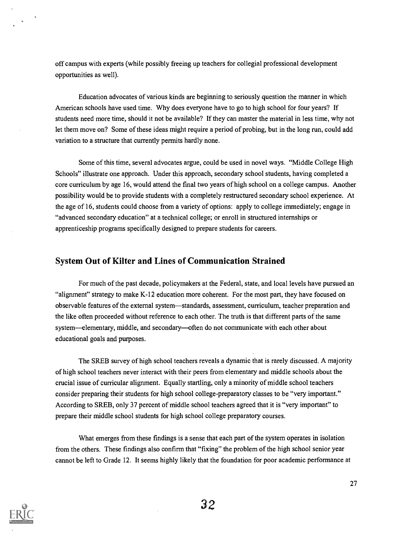off campus with experts (while possibly freeing up teachers for collegial professional development opportunities as well).

Education advocates of various kinds are beginning to seriously question the manner in which American schools have used time. Why does everyone have to go to high school for four years? If students need more time, should it not be available? If they can master the material in less time, why not let them move on? Some of these ideas might require a period of probing, but in the long run, could add variation to a structure that currently permits hardly none.

Some of this time, several advocates argue, could be used in novel ways. "Middle College High Schools" illustrate one approach. Under this approach, secondary school students, having completed a core curriculum by age 16, would attend the final two years of high school on a college campus. Another possibility would be to provide students with a completely restructured secondary school experience. At the age of 16, students could choose from a variety of options: apply to college immediately; engage in "advanced secondary education" at a technical college; or enroll in structured internships or apprenticeship programs specifically designed to prepare students for careers.

## System Out of Kilter and Lines of Communication Strained

For much of the past decade, policymakers at the Federal, state, and local levels have pursued an "alignment" strategy to make K-12 education more coherent. For the most part, they have focused on observable features of the external system—standards, assessment, curriculum, teacher preparation and the like often proceeded without reference to each other. The truth is that different parts of the same system-elementary, middle, and secondary-often do not communicate with each other about educational goals and purposes.

The SREB survey of high school teachers reveals a dynamic that is rarely discussed. A majority of high school teachers never interact with their peers from elementary and middle schools about the crucial issue of curricular alignment. Equally startling, only a minority of middle school teachers consider preparing their students for high school college-preparatory classes to be "very important." According to SREB, only 37 percent of middle school teachers agreed that it is "very important" to prepare their middle school students for high school college preparatory courses.

What emerges from these findings is a sense that each part of the system operates in isolation from the others. These findings also confirm that "fixing" the problem of the high school senior year cannot be left to Grade 12. It seems highly likely that the foundation for poor academic performance at



 $\sim$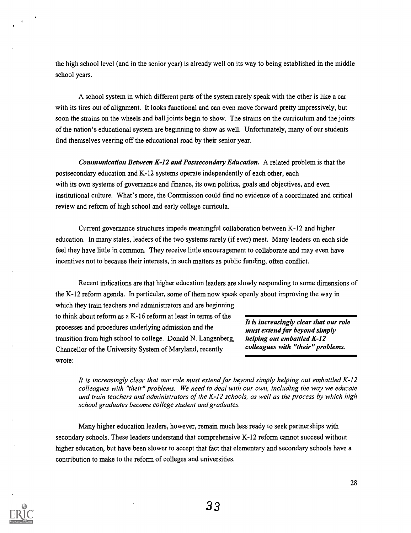the high school level (and in the senior year) is already well on its way to being established in the middle school years.

A school system in which different parts of the system rarely speak with the other is like a car with its tires out of alignment. It looks functional and can even move forward pretty impressively, but soon the strains on the wheels and ball joints begin to show. The strains on the curriculum and the joints of the nation's educational system are beginning to show as well. Unfortunately, many of our students find themselves veering off the educational road by their senior year.

Communication Between K-12 and Postsecondary Education. A related problem is that the postsecondary education and K-12 systems operate independently of each other, each with its own systems of governance and finance, its own politics, goals and objectives, and even institutional culture. What's more, the Commission could find no evidence of a coordinated and critical review and reform of high school and early college curricula.

Current governance structures impede meaningful collaboration between K-12 and higher education. In many states, leaders of the two systems rarely (if ever) meet. Many leaders on each side feel they have little in common. They receive little encouragement to collaborate and may even have incentives not to because their interests, in such matters as public funding, often conflict.

Recent indications are that higher education leaders are slowly responding to some dimensions of the K-12 reform agenda. In particular, some of them now speak openly about improving the way in

which they train teachers and administrators and are beginning to think about reform as a K-16 reform at least in terms of the  $\overline{It}$  is increasingly clear that our role processes and procedures underlying admission and the must extend far beyond simply transition from high school to college. Donald N. Langenberg, helping out embattled  $K-12$ Chancellor of the University System of Maryland, recently colleagues with "their" problems. wrote:

It is increasingly clear that our role must extend far beyond simply helping out embattled K-12 colleagues with "their" problems. We need to deal with our own, including the way we educate and train teachers and administrators of the K-12 schools, as well as the process by which high school graduates become college student and graduates.

Many higher education leaders, however, remain much less ready to seek partnerships with secondary schools. These leaders understand that comprehensive K-12 reform cannot succeed without higher education, but have been slower to accept that fact that elementary and secondary schools have a contribution to make to the reform of colleges and universities.

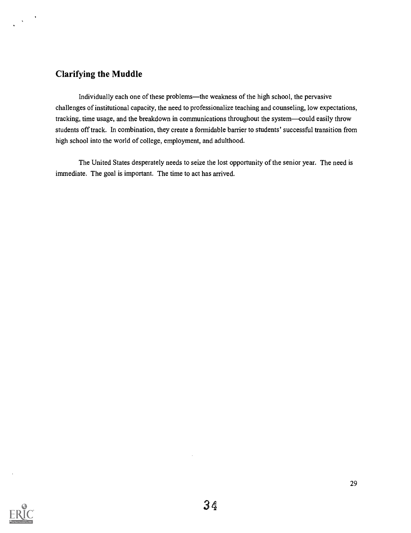## Clarifying the Muddle

 $\langle \mathbf{v} \rangle$ 

Individually each one of these problems-the weakness of the high school, the pervasive challenges of institutional capacity, the need to professionalize teaching and counseling, low expectations, tracking, time usage, and the breakdown in communications throughout the system—could easily throw students off track. In combination, they create a formidable barrier to students' successful transition from high school into the world of college, employment, and adulthood.

The United States desperately needs to seize the lost opportunity of the senior year. The need is immediate. The goal is important. The time to act has arrived.

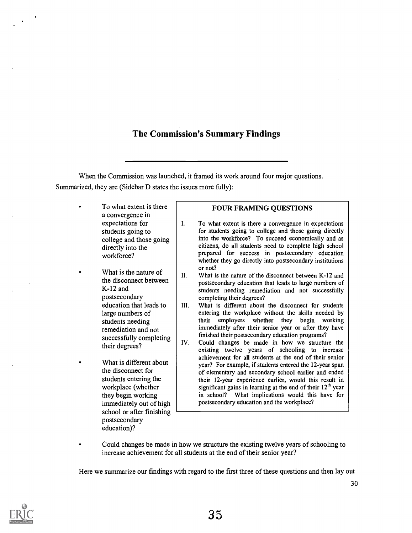## The Commission's Summary Findings

When the Commission was launched, it framed its work around four major questions. Summarized, they are (Sidebar D states the issues more fully):

| a convergence in                                                                                                                      | To what extent is there                                                                            | <b>FOUR FRAMING QUESTIONS</b>                                                                                                                                                                                                                                                                                                                                                                                                                                                                                                                                                                |
|---------------------------------------------------------------------------------------------------------------------------------------|----------------------------------------------------------------------------------------------------|----------------------------------------------------------------------------------------------------------------------------------------------------------------------------------------------------------------------------------------------------------------------------------------------------------------------------------------------------------------------------------------------------------------------------------------------------------------------------------------------------------------------------------------------------------------------------------------------|
| expectations for<br>students going to<br>directly into the<br>workforce?                                                              | I.<br>college and those going                                                                      | To what extent is there a convergence in expectations<br>for students going to college and those going directly<br>into the workforce? To succeed economically and as<br>citizens, do all students need to complete high school<br>prepared for success in postsecondary education<br>whether they go directly into postsecondary institutions                                                                                                                                                                                                                                               |
| What is the nature of<br>$K-12$ and<br>postsecondary<br>large numbers of<br>students needing<br>remediation and not<br>their degrees? | II.<br>the disconnect between<br>education that leads to<br>III.<br>successfully completing<br>IV. | or not?<br>What is the nature of the disconnect between K-12 and<br>postsecondary education that leads to large numbers of<br>students needing remediation and not successfully<br>completing their degrees?<br>What is different about the disconnect for students<br>entering the workplace without the skills needed by<br>employers whether they begin working<br>their<br>immediately after their senior year or after they have<br>finished their postsecondary education programs?<br>Could changes be made in how we structure the<br>existing twelve years of schooling to increase |
| the disconnect for<br>students entering the<br>workplace (whether<br>they begin working                                               | What is different about<br>immediately out of high                                                 | achievement for all students at the end of their senior<br>year? For example, if students entered the 12-year span<br>of elementary and secondary school earlier and ended<br>their 12-year experience earlier, would this result in<br>significant gains in learning at the end of their 12 <sup>th</sup> year<br>in school? What implications would this have for<br>postsecondary education and the workplace?                                                                                                                                                                            |
| postsecondary<br>education)?                                                                                                          | school or after finishing                                                                          |                                                                                                                                                                                                                                                                                                                                                                                                                                                                                                                                                                                              |

Could changes be made in how we structure the existing twelve years of schooling to  $\bullet$ increase achievement for all students at the end of their senior year?

Here we summarize our findings with regard to the first three of these questions and then lay out

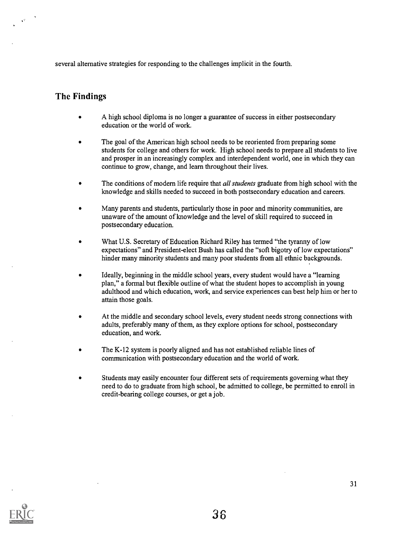several alternative strategies for responding to the challenges implicit in the fourth.

## The Findings

- A high school diploma is no longer a guarantee of success in either postsecondary education or the world of work.
- The goal of the American high school needs to be reoriented from preparing some students for college and others for work. High school needs to prepare all students to live and prosper in an increasingly complex and interdependent world, one in which they can continue to grow, change, and learn throughout their lives.
- The conditions of modern life require that *all students* graduate from high school with the knowledge and skills needed to succeed in both postsecondary education and careers.
- Many parents and students, particularly those in poor and minority communities, are unaware of the amount of knowledge and the level of skill required to succeed in postsecondary education.
- What U.S. Secretary of Education Richard Riley has termed "the tyranny of low expectations" and President-elect Bush has called the "soft bigotry of low expectations" hinder many minority students and many poor students from all ethnic backgrounds.
- Ideally, beginning in the middle school years, every student would have a "learning plan," a formal but flexible outline of what the student hopes to accomplish in young adulthood and which education, work, and service experiences can best help him or her to attain those goals.
- At the middle and secondary school levels, every student needs strong connections with adults, preferably many of them, as they explore options for school, postsecondary education, and work.
- The K-12 system is poorly aligned and has not established reliable lines of communication with postsecondary education and the world of work.
- Students may easily encounter four different sets of requirements governing what they need to do to graduate from high school, be admitted to college, be permitted to enroll in credit-bearing college courses, or get a job.

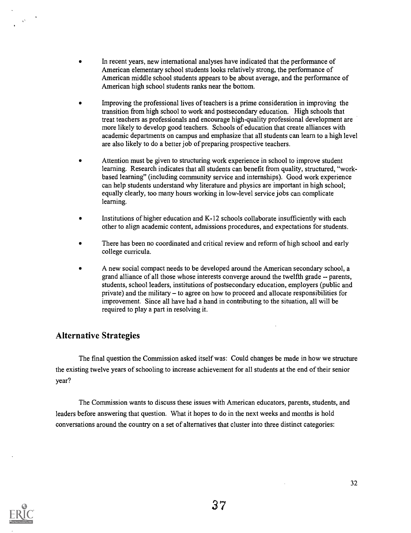- In recent years, new international analyses have indicated that the performance of American elementary school students looks relatively strong, the performance of American middle school students appears to be about average, and the performance of American high school students ranks near the bottom.
- Improving the professional lives of teachers is a prime consideration in improving the transition from high school to work and postsecondary education. High schools that treat teachers as professionals and encourage high-quality professional development are more likely to develop good teachers. Schools of education that create alliances with academic departments on campus and emphasize that all students can learn to a high level are also likely to do a better job of preparing prospective teachers.
- Attention must be given to structuring work experience in school to improve student  $\bullet$ learning. Research indicates that all students can benefit from quality, structured, "workbased learning" (including community service and internships). Good work experience can help students understand why literature and physics are important in high school; equally clearly, too many hours working in low-level service jobs can complicate learning.
- Institutions of higher education and K-12 schools collaborate insufficiently with each other to align academic content, admissions procedures, and expectations for students.
- There has been no coordinated and critical review and reform of high school and early college curricula.
- A new social compact needs to be developed around the American secondary school, a grand alliance of all those whose interests converge around the twelfth grade -- parents, students, school leaders, institutions of postsecondary education, employers (public and private) and the military  $-$  to agree on how to proceed and allocate responsibilities for improvement. Since all have had a hand in contributing to the situation, all will be required to play a part in resolving it.

## Alternative Strategies

The final question the Commission asked itself was: Could changes be made in how we structure the existing twelve years of schooling to increase achievement for all students at the end of their senior year?

The Commission wants to discuss these issues with American educators, parents, students, and leaders before answering that question. What it hopes to do in the next weeks and months is hold conversations around the country on a set of alternatives that cluster into three distinct categories:



 $\hat{\mathbf{v}}$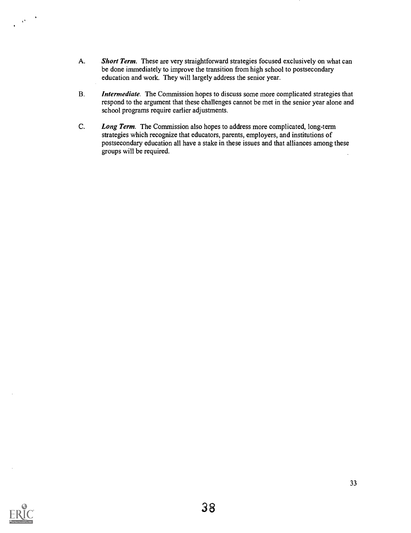- A. Short Term. These are very straightforward strategies focused exclusively on what can be done immediately to improve the transition from high school to postsecondary education and work. They will largely address the senior year.
- B. Intermediate. The Commission hopes to discuss some more complicated strategies that respond to the argument that these challenges cannot be met in the senior year alone and school programs require earlier adjustments.
- C. Long Term. The Commission also hopes to address more complicated, long-term strategies which recognize that educators, parents, employers, and institutions of postsecondary education all have a stake in these issues and that alliances among these groups will be required.



 $\langle \hat{\mathbf{v}}^{\dagger} \rangle$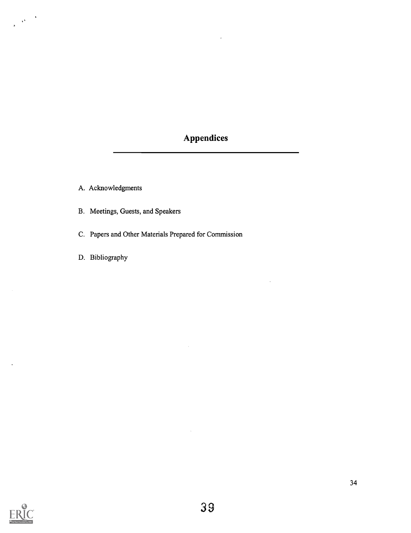## Appendices

A. Acknowledgments

- B. Meetings, Guests, and Speakers
- C. Papers and Other Materials Prepared for Commission
- D. Bibliography



 $\frac{1}{\sqrt{2\pi}}\frac{1}{\sqrt{2\pi}}\frac{1}{\sqrt{2\pi}}\frac{1}{\sqrt{2\pi}}\frac{1}{\sqrt{2\pi}}\frac{1}{\sqrt{2\pi}}\frac{1}{\sqrt{2\pi}}\frac{1}{\sqrt{2\pi}}\frac{1}{\sqrt{2\pi}}\frac{1}{\sqrt{2\pi}}\frac{1}{\sqrt{2\pi}}\frac{1}{\sqrt{2\pi}}\frac{1}{\sqrt{2\pi}}\frac{1}{\sqrt{2\pi}}\frac{1}{\sqrt{2\pi}}\frac{1}{\sqrt{2\pi}}\frac{1}{\sqrt{2\pi}}\frac{1}{\sqrt{2\pi}}\frac{1$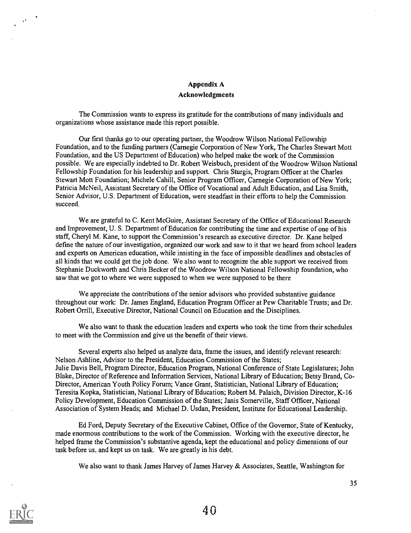### Appendix A Acknowledgments

The Commission wants to express its gratitude for the contributions of many individuals and organizations whose assistance made this report possible.

Our first thanks go to our operating partner, the Woodrow Wilson National Fellowship Foundation, and to the funding partners (Carnegie Corporation of New York, The Charles Stewart Mott Foundation, and the US Department of Education) who helped make the work of the Commission possible. We are especially indebted to Dr. Robert Weisbuch, president of the Woodrow Wilson National Fellowship Foundation for his leadership and support. Chris Sturgis, Program Officer at the Charles Stewart Mott Foundation; Michele Cahill, Senior Program Officer, Carnegie Corporation of New York; Patricia McNeil, Assistant Secretary of the Office of Vocational and Adult Education, and Lisa Smith, Senior Advisor, U.S. Department of Education, were steadfast in their efforts to help the Commission succeed.

We are grateful to C. Kent McGuire, Assistant Secretary of the Office of Educational Research and Improvement, U. S. Department of Education for contributing the time and expertise of one of his staff, Cheryl M. Kane, to support the Commission's research as executive director. Dr. Kane helped define the nature of our investigation, organized our work and saw to it that we heard from school leaders and experts on American education, while insisting in the face of impossible deadlines and obstacles of all kinds that we could get the job done. We also want to recognize the able support we received from Stephanie Duckworth and Chris Becker of the Woodrow Wilson National Fellowship foundation, who saw that we got to where we were supposed to when we were supposed to be there

We appreciate the contributions of the senior advisors who provided substantive guidance throughout our work: Dr. James England, Education Program Officer at Pew Charitable Trusts; and Dr. Robert Orrill, Executive Director, National Council on Education and the Disciplines.

We also want to thank the education leaders and experts who took the time from their schedules to meet with the Commission and give us the benefit of their views.

Several experts also helped us analyze data, frame the issues, and identify relevant research: Nelson Ashline, Advisor to the President, Education Commission of the States; Julie Davis Bell, Program Director, Education Program, National Conference of State Legislatures; John Blake, Director of Reference and Information Services, National Library of Education; Betsy Brand, Co-Director, American Youth Policy Forum; Vance Grant, Statistician, National Library of Education; Teresita Kopka, Statistician, National Library of Education; Robert M. Palaich, Division Director, K-16 Policy Development, Education Commission of the States; Janis Somerville, Staff Officer, National Association of System Heads; and Michael D. Usdan, President, Institute for Educational Leadership.

Ed Ford, Deputy Secretary of the Executive Cabinet, Office of the Governor, State of Kentucky, made enormous contributions to the work of the Commission. Working with the executive director, he helped frame the Commission's substantive agenda, kept the educational and policy dimensions of our task before us, and kept us on task. We are greatly in his debt.

We also want to thank James Harvey of James Harvey & Associates, Seattle, Washington for

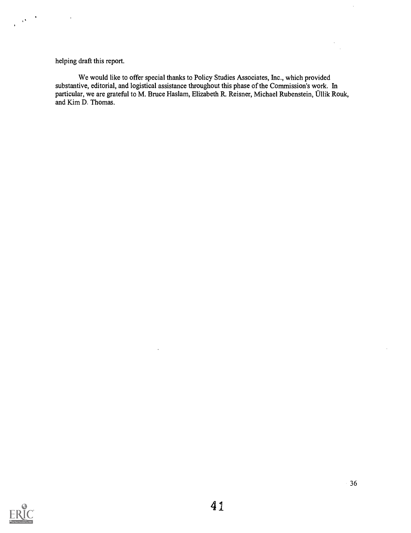helping draft this report.

 $\langle \rho \rangle^2$  $\mathbf{r}$ 

> We would like to offer special thanks to Policy Studies Associates, Inc., which provided substantive, editorial, and logistical assistance throughout this phase of the Commission's work. In particular, we are grateful to M. Bruce Haslam, Elizabeth R. Reisner, Michael Rubenstein, Ullik Rouk, and Kim D. Thomas.

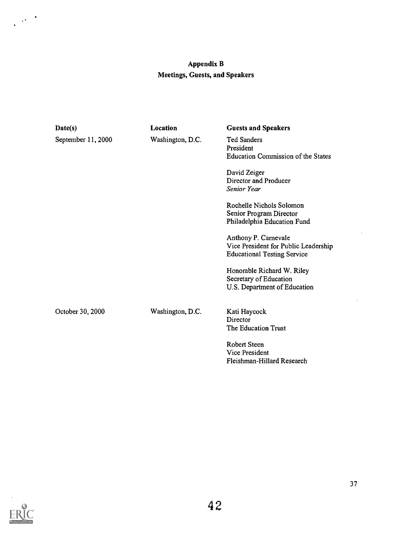## Appendix B Meetings, Guests, and Speakers

| Date(s)            | <b>Location</b>                                                                                  | <b>Guests and Speakers</b>                                                                         |
|--------------------|--------------------------------------------------------------------------------------------------|----------------------------------------------------------------------------------------------------|
| September 11, 2000 | Washington, D.C.<br><b>Ted Sanders</b><br>President<br><b>Education Commission of the States</b> |                                                                                                    |
|                    |                                                                                                  | David Zeiger<br>Director and Producer<br>Senior Year                                               |
|                    |                                                                                                  | Rochelle Nichols Solomon<br>Senior Program Director<br>Philadelphia Education Fund                 |
|                    |                                                                                                  | Anthony P. Carnevale<br>Vice President for Public Leadership<br><b>Educational Testing Service</b> |
|                    |                                                                                                  | Honorable Richard W. Riley<br>Secretary of Education<br>U.S. Department of Education               |
| October 30, 2000   | Washington, D.C.                                                                                 | Kati Haycock<br>Director<br>The Education Trust                                                    |
|                    |                                                                                                  | Robert Steen<br>Vice President<br>Fleishman-Hillard Research                                       |



 $\mathcal{O}(\frac{1}{\sqrt{2}})$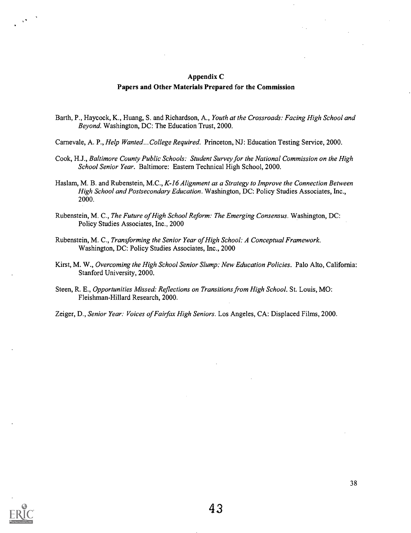#### Appendix C

#### Papers and Other Materials Prepared for the Commission

- Barth, P., Haycock, K., Huang, S. and Richardson, A., Youth at the Crossroads: Facing High School and Beyond. Washington, DC: The Education Trust, 2000.
- Carnevale, A. P., Help Wanted...College Required. Princeton, NJ: Education Testing Service, 2000.
- Cook, H.J., Baltimore County Public Schools: Student Survey for the National Commission on the High School Senior Year. Baltimore: Eastern Technical High School, 2000.
- Haslam, M. B. and Rubenstein, M.C., K-16 Alignment as a Strategy to Improve the Connection Between High School and Postsecondary Education. Washington, DC: Policy Studies Associates, Inc., 2000.
- Rubenstein, M. C., The Future of High School Reform: The Emerging Consensus. Washington, DC: Policy Studies Associates, Inc., 2000
- Rubenstein, M. C., Transforming the Senior Year of High School: A Conceptual Framework. Washington, DC: Policy Studies Associates, Inc., 2000
- Kirst, M. W., Overcoming the High School Senior Slump: New Education Policies. Palo Alto, California: Stanford University, 2000.
- Steen, R. E., Opportunities Missed: Reflections on Transitions from High School. St. Louis, MO: Fleishman-Hillard Research, 2000.
- Zeiger, D., Senior Year: Voices of Fairfax High Seniors. Los Angeles, CA: Displaced Films, 2000.

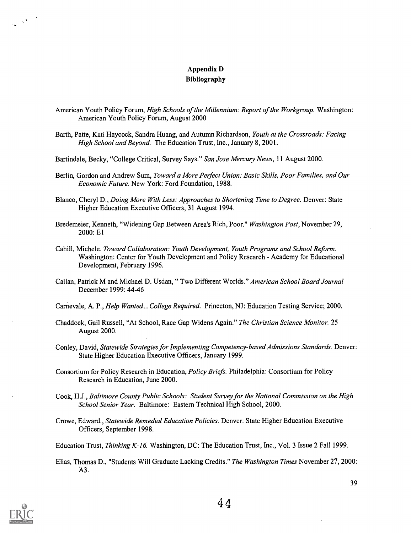### Appendix D Bibliography

- American Youth Policy Forum, High Schools of the Millennium: Report of the Workgroup. Washington: American Youth Policy Forum, August 2000
- Barth, Patte, Kati Haycock, Sandra Huang, and Autumn Richardson, Youth at the Crossroads: Facing High School and Beyond. The Education Trust, Inc., January 8, 2001.
- Bartindale, Becky, "College Critical, Survey Says." San Jose Mercury News, 11 August 2000.
- Berlin, Gordon and Andrew Sum, Toward a More Perfect Union: Basic Skills, Poor Families, and Our Economic Future. New York: Ford Foundation, 1988.
- Blanco, Cheryl D., Doing More With Less: Approaches to Shortening Time to Degree. Denver: State Higher Education Executive Officers, 31 August 1994.
- Bredemeier, Kenneth, "Widening Gap Between Area's Rich, Poor." Washington Post, November 29, 2000: El
- Cahill, Michele. Toward Collaboration: Youth Development, Youth Programs and School Reform. Washington: Center for Youth Development and Policy Research - Academy for Educational Development, February 1996.
- Callan, Patrick M and Michael D. Usdan, " Two Different Worlds." American School Board Journal December 1999: 44-46
- Carnevale, A. P., Help Wanted... College Required. Princeton, NJ: Education Testing Service; 2000.
- Chaddock, Gail Russell, "At School, Race Gap Widens Again." The Christian Science Monitor. 25 August 2000.
- Conley, David, Statewide Strategies for Implementing Competency-based Admissions Standards. Denver: State Higher Education Executive Officers, January 1999.
- Consortium for Policy Research in Education, Policy Briefs. Philadelphia: Consortium for Policy Research in Education, June 2000.
- Cook, H.J., Baltimore County Public Schools: Student Survey for the National Commission on the High School Senior Year. Baltimore: Eastern Technical High School, 2000.
- Crowe, Edward., Statewide Remedial Education Policies. Denver: State Higher Education Executive Officers, September 1998.
- Education Trust, Thinking K-16. Washington, DC: The Education Trust, Inc., Vol. 3 Issue 2 Fall 1999.
- Elias, Thomas D., "Students Will Graduate Lacking Credits." The Washington Times November 27, 2000: A3.



 $\frac{1}{2\sqrt{2}}\left(\frac{1}{2}\sqrt{2}\right)^{1/2}$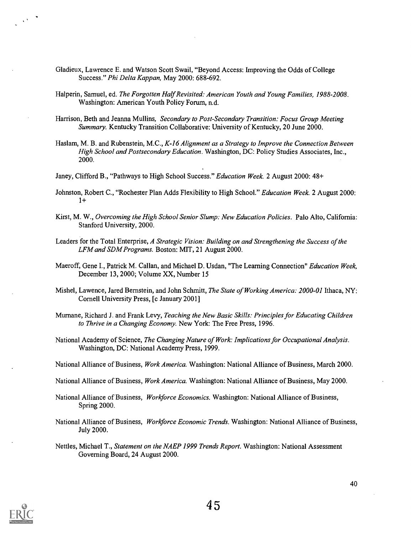- Gladieux, Lawrence E. and Watson Scott Swail, "Beyond Access: Improving the Odds of College Success." Phi Delta Kappan, May 2000: 688-692.
- Halperin, Samuel, ed. The Forgotten Half Revisited: American Youth and Young Families, 1988-2008. Washington: American Youth Policy Forum, n.d.
- Harrison, Beth and Jeanna Mullins, Secondary to Post-Secondary Transition: Focus Group Meeting Summary. Kentucky Transition Collaborative: University of Kentucky, 20 June 2000.
- Haslam, M. B. and Rubenstein, M.C., K-16 Alignment as a Strategy to Improve the Connection Between High School and Postsecondary Education. Washington, DC: Policy Studies Associates, Inc., 2000.
- Janey, Clifford B., "Pathways to High School Success." Education Week. 2 August 2000: 48+
- Johnston, Robert C., "Rochester Plan Adds Flexibility to High School." Education Week. 2 August 2000: 1+
- Kirst, M. W., Overcoming the High School Senior Slump: New Education Policies. Palo Alto, California: Stanford University, 2000.
- Leaders for the Total Enterprise, A Strategic Vision: Building on and Strengthening the Success of the LFM and SDM Programs. Boston: MIT, 21 August 2000.
- Maeroff, Gene I., Patrick M. Callan, and Michael D. Usdan, "The Learning Connection" Education Week, December 13, 2000; Volume XX, Number 15
- Mishel, Lawence, Jared Bernstein, and John Schmitt, The State of Working America: 2000-01 Ithaca, NY: Cornell University Press, [c January 2001]
- Murnane, Richard J. and Frank Levy, Teaching the New Basic Skills: Principles for Educating Children to Thrive in a Changing Economy. New York: The Free Press, 1996.
- National Academy of Science, The Changing Nature of Work: Implications for Occupational Analysis. Washington, DC: National Academy Press, 1999.
- National Alliance of Business, Work America. Washington: National Alliance of Business, March 2000.
- National Alliance of Business, Work America. Washington: National Alliance of Business, May 2000.
- National Alliance of Business, *Workforce Economics*. Washington: National Alliance of Business, Spring 2000.
- National Alliance of Business, Workforce Economic Trends. Washington: National Alliance of Business, July 2000.
- Nettles, Michael T., Statement on the NAEP 1999 Trends Report. Washington: National Assessment Governing Board, 24 August 2000.



 $\chi^{\left( \mathbf{q} \right)}$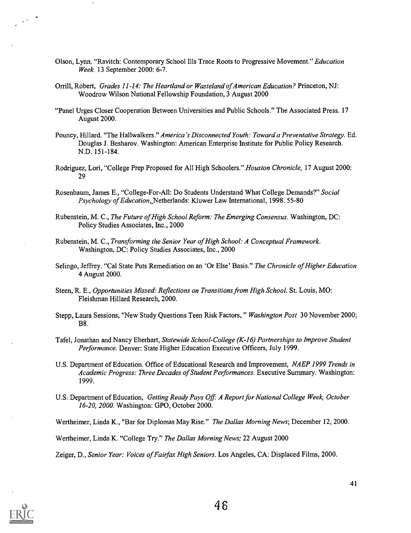- Olson, Lynn. "Ravitch: Contemporary School Ills Trace Roots to Progressive Movement." Education Week. 13 September 2000: 6-7.
- Orrill, Robert, Grades 11-14: The Heartland or Wasteland of American Education? Princeton, NJ: Woodrow Wilson National Fellowship Foundation, 3 August 2000
- "Panel Urges Closer Cooperation Between Universities and Public Schools." The Associated Press. 17 August 2000.
- Pouncy, Hillard. "The Hallwalkers." America 's Disconnected Youth: Toward a Preventative Strategy. Ed. Douglas J. Besharov. Washington: American Enterprise Institute for Public Policy Research. N.D. 151-184.
- Rodriguez, Lori, "College Prep Proposed for All High Schoolers." Houston Chronicle, 17 August 2000: 29
- Rosenbaum, James E., "College-For-All: Do Students Understand What College Demands?" Social Psychology of Education, Netherlands: Kluwer Law International, 1998. 55-80
- Rubenstein, M. C., The Future of High School Reform: The Emerging Consensus. Washington, DC: Policy Studies Associates, Inc., 2000
- Rubenstein, M. C., Transforming the Senior Year of High School: A Conceptual Framework. Washington, DC: Policy Studies Associates, Inc., 2000
- Selingo, Jeffrey. "Cal State Puts Remediation on an 'Or Else' Basis." The Chronicle of Higher Education 4 August 2000.
- Steen, R. E., Opportunities Missed: Reflections on Transitions from High School. St. Louis, MO: Fleishman Hillard Research, 2000.
- Stepp, Laura Sessions, "New Study Questions Teen Risk Factors, " Washington Post 30 November 2000; B8.
- Tafel, Jonathan and Nancy Eberhart, Statewide School-College (K-16) Partnerships to Improve Student Performance. Denver: State Higher Education Executive Officers, July 1999.
- U.S. Department of Education. Office of Educational Research and Improvement, NAEP 1999 Trends in Academic Progress: Three Decades of Student Performances. Executive Summary. Washington: 1999.
- U.S. Department of Education, Getting Ready Pays Off: A Report for National College Week, October 16-20, 2000. Washington: GPO, October 2000.

Wertheimer, Linda K., "Bar for Diplomas May Rise." The Dallas Morning News; December 12, 2000.

Wertheimer, Linda K. "College Try." The Dallas Morning News; 22 August 2000

Zeiger, D., Senior Year: Voices of Fairfax High Seniors. Los Angeles, CA: Displaced Films, 2000.



 $\frac{1}{2} \sqrt{1 - \frac{1}{2}}$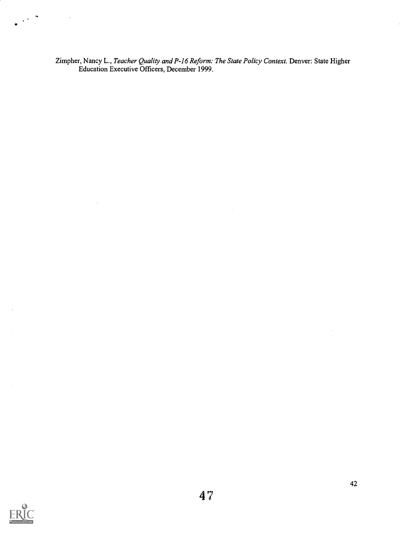Zimpher, Nancy L., Teacher Quality and P-16 Reform: The State Policy Context. Denver: State Higher Education Executive Officers, December 1999.



 $\sqrt{1 + \frac{1}{2}}$ 

J,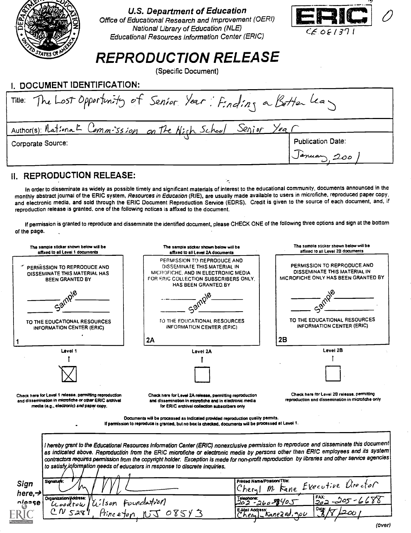

U.S. Department of Education

Office of Educational Research and Improvement (OERI) National Library of Education (NLE) Educational Resources Information Center (ERIC)



## REPRODUCTION RELEASE

(Specific Document)

| <b>I. DOCUMENT IDENTIFICATION:</b>                                |                          |
|-------------------------------------------------------------------|--------------------------|
| Title: The Lost Opportunity of Senior Year: Finding a Better leas |                          |
| Author(s): National Commission on the Nigh School Senior Year     |                          |
| Corporate Source:                                                 | <b>Publication Date:</b> |
|                                                                   | January 200              |

## II. REPRODUCTION RELEASE:

In order to disseminate as widely as possible timely and significant materials of interest to the educational community, documents announcedin the monthly abstract journal of the ERIC system, Resources in Education (RIE), are usually made available to users in microfiche, reproduced paper copy, and electronic media, and sold through the ERIC Document Reproduction Service (EDRS). Credit is given to the source of each document, and, if reproduction release is granted, one of the following notices is affixed to the document.

If permission is granted to reproduce and disseminate the identified document, please CHECK ONE of the following three options and sign at the bottom of the page.

|                                                                                                                                                               | The sample sticker shown below will be<br>affixed to all Level 2A documents                                                                                                                                                                                                                                                                                                                                                       | The sample sticker shown below will be<br>affixed to all Level 2B documents                        |
|---------------------------------------------------------------------------------------------------------------------------------------------------------------|-----------------------------------------------------------------------------------------------------------------------------------------------------------------------------------------------------------------------------------------------------------------------------------------------------------------------------------------------------------------------------------------------------------------------------------|----------------------------------------------------------------------------------------------------|
| PERMISSION TO REPRODUCE AND<br>DISSEMINATE THIS MATERIAL HAS<br><b>BEEN GRANTED BY</b>                                                                        | PERMISSION TO REPRODUCE AND<br>DISSEMINATE THIS MATERIAL IN<br>MICROFICHE, AND IN ELECTRONIC MEDIA<br>FOR ERIC COLLECTION SUBSCRIBERS ONLY.<br>HAS BEEN GRANTED. BY                                                                                                                                                                                                                                                               | PERMISSION TO REPRODUCE AND<br>DISSEMINATE THIS MATERIAL IN<br>MICROFICHE ONLY HAS BEEN GRANTED BY |
| $c^{\delta}$                                                                                                                                                  |                                                                                                                                                                                                                                                                                                                                                                                                                                   |                                                                                                    |
| TO THE EDUCATIONAL RESOURCES<br><b>INFORMATION CENTER (ERIC)</b>                                                                                              | TO THE EDUCATIONAL RESOURCES<br><b>INFORMATION CENTER (ERIC)</b>                                                                                                                                                                                                                                                                                                                                                                  | TO THE EDUCATIONAL RESOURCES<br><b>INFORMATION CENTER (ERIC)</b>                                   |
|                                                                                                                                                               | 2A                                                                                                                                                                                                                                                                                                                                                                                                                                | 2B                                                                                                 |
| Level 1                                                                                                                                                       | Level 2A                                                                                                                                                                                                                                                                                                                                                                                                                          | Level 2B                                                                                           |
|                                                                                                                                                               |                                                                                                                                                                                                                                                                                                                                                                                                                                   |                                                                                                    |
|                                                                                                                                                               |                                                                                                                                                                                                                                                                                                                                                                                                                                   |                                                                                                    |
| Check here for Level 1 release, permitting reproduction<br>and dissemination in microfiche or other ERIC archival<br>media (e.g., electronic) and paper copy, | Check here for Level 2A release, permitting reproduction<br>and dissemination in microfiche and in electronic media<br>for ERIC archival collection subscribers only                                                                                                                                                                                                                                                              | Check here for Level 2B release, permitting<br>reproduction and dissemination in microfiche only   |
|                                                                                                                                                               | Documents will be processed as indicated provided reproduction quality permits.<br>If permission to reproduce is granted, but no box is checked, documents will be processed at Level 1.                                                                                                                                                                                                                                          |                                                                                                    |
|                                                                                                                                                               |                                                                                                                                                                                                                                                                                                                                                                                                                                   |                                                                                                    |
| to satisfy information needs of educators in response to discrete inquiries.                                                                                  | I hereby grant to the Educational Resources Information Center (ERIC) nonexclusive permission to reproduce and disseminate this document<br>as indicated above. Reproduction from the ERIC microfiche or electronic media by persons other than ERIC employees and its system<br>contractors requires permission from the copyright holder. Exception is made for non-profit reproduction by libraries and other service agencies |                                                                                                    |
| Signature:<br>Sign                                                                                                                                            | Printed Name/Position/Title:<br>Chem                                                                                                                                                                                                                                                                                                                                                                                              | M. Kane Executive Director                                                                         |
| here, $\rightarrow$<br>Organization/Address:                                                                                                                  | Telephone:                                                                                                                                                                                                                                                                                                                                                                                                                        | $502 - 205 - 6688$                                                                                 |
| Uilson Foundation<br>nlease<br>Loodrow<br>$CN$ $S28$<br>Princeton                                                                                             | $202 - 260$ MY05<br>E-Mail Address:<br>2 68213                                                                                                                                                                                                                                                                                                                                                                                    |                                                                                                    |